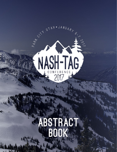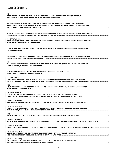## TABLE OF CONTENTS

| [1]<br>REGENERATE: A PHASE 3, DOUBLE-BLIND, RANDOMIZED, PLACEBO-CONTROLLED MULTICENTER STUDY                                                                                                               |
|------------------------------------------------------------------------------------------------------------------------------------------------------------------------------------------------------------|
| [2]<br>A DISEASE SEVERITY INDEX (DSI) FROM THE HEPQUANT®-SHUNT TEST IS REPRODUCIBLE AND QUANTIFIES<br>HEPATIC IMPAIRMENT IN PATIENTS WITH NON-ALCOHOLIC STEATOHEPATITIS (NASH), CHRONIC HEPATITIS C (CHC), |
| [3]<br>STAGING FIBROSIS AND EXCLUDING ADVANCED FIBROSIS IN PATIENTS WITH NAFLD: COMPARISON OF NON-INVASIVE                                                                                                 |
| [4 - ORAL WINNER]<br>ASSESSMENT OF SERUM LEVELS OF CHITINASE-3-LIKE PROTEIN 1 (CHI3L1) IMPROVES IDENTIFICATION OF THE NASH                                                                                 |
| [5]<br>CLINICAL AND BIOCHEMICAL CHARACTERISTICS OF PATIENTS WITH NASH AND HIGH INFLAMMATORY ACTIVITY                                                                                                       |
| [6]<br>THE BREATHID <sup>13</sup> C-METHACETIN BREATH TEST (MBT) CORRELATES WELL WITH DEGREE OF LIVER DISEASE SEVERITY:                                                                                    |
| [7]<br>DIAGNOSING NASH PATIENTS AND THEIR RISK OF VARICES AND DECOMPENSATION BY A GLOBAL MEASURE OF                                                                                                        |
| [8]<br>NON-INVASIVE MULTIPARAMETRIC MRI(LIVERMULTISCAN™) EFFECTIVELY EXCLUDES                                                                                                                              |
| [9 - ORAL WINNER]<br><sup>13</sup> C-METHACETIN BREATH TEST TO ASSESS PRESENCE OF CLINICALLY SIGNIFICANT PORTAL HYPERTENSION:                                                                              |
| [10]<br>NOVEL FIBROSCAN-BASED SCORE TO DIAGNOSE NASH AND ITS SEVERITY IN A MULTI-CENTRE UK COHORT OF                                                                                                       |
| [11 - ORAL WINNER]<br><b>GLUCAGON-LIKE PEPTIDE-1 RECEPTOR AGONIST POTENTLY ATTENUATES STEATOHEPATITIS AND</b>                                                                                              |
| [12 - ORAL WINNER]                                                                                                                                                                                         |
| [13 - ORAL WINNER]<br>A SHORT-TERM HIGH CARBOHYDRATE DIET INDUCES ACUTE LIVER INJURY, ENHANCED DE NOVO LIPOGENESIS,                                                                                        |
| [14]                                                                                                                                                                                                       |
| [15 - ORAL WINNER]<br>INHIBITION OF SPHINGOSINE 1-PHOSPHATE SIGNALING BY FTY720 AMELIORATES MURINE NONALCOHOLIC STEATOHEPATITIS 11                                                                         |
| [16 - ORAL WINNER]<br>TARGETING MITOCHONDRIAL PYRUVATE METABOLISM TO AMELIORATE HEPATIC FIBROSIS IN A MOUSE MODEL OF NASH 11                                                                               |
| [17 - ORAL WINNER]<br>LXR INVERSE AGONISTS DEMONSTRATE LIVER LIPID LOWERING EFFECTS THROUGH MULTIPLE                                                                                                       |
| [18 - ORAL WINNER]<br>THE EFFECT OF LIRAGLUTIDE, ELAFIBRANOR AND OBETICHOLIC ACID ON NAFLD ACTIVITY SCORE AND                                                                                              |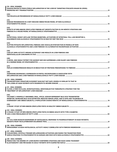| [19 - ORAL WINNER]                                                                                                                                                                           |
|----------------------------------------------------------------------------------------------------------------------------------------------------------------------------------------------|
| DIGOXIN PROTECTS FROM STERILE INFLAMMATION IN THE LIVER BY TARGETING PYRUVATE KINASE M2 (PKM2)                                                                                               |
| [20]                                                                                                                                                                                         |
| [21]<br>DISEASE PROGRESSION IN A DIET-INDUCED OBESE MOUSE MODEL OF NON-ALCOHOLIC                                                                                                             |
| [22]<br>EFFECTS OF BMS-986036 (PEGYLATED FIBROBLAST GROWTH FACTOR 21) ON HEPATIC STEATOSIS AND                                                                                               |
| [23]<br>NUTRITIONAL WHEAT AMYLASE TRYPSIN INHIBITORS, ACTIVATORS OF INTESTINAL TOLL LIKE RECEPTOR 4,                                                                                         |
| [24]<br>GLIPTINS MITIGATE INFLAMMATION, FIBROSIS AND VASCULAR DYSFUNCTION IN MODELS OF NON-                                                                                                  |
| [25]<br>LOSS OF AMPK ACTIVITY IMPAIRS AUTOPHAGY AND RESULTS IN LIVER FIBROSIS AND                                                                                                            |
| [26]<br>A NOVEL AND HIGHLY POTENT FXR AGONIST EDP-305 SUPPRESSES LIVER INJURY AND FIBROSIS                                                                                                   |
| [27]                                                                                                                                                                                         |
| [28]<br>ADENOSINE DEAMINASE 2 EXPRESSION IN PORTAL MACROPHAGES IS ASSOCIATED WITH                                                                                                            |
| [30 - ORAL WINNER]<br>TRANSCRIPTOMIC SIGNATURE IN RODENT NASH BUT NOT NAFL MODELS IS SIMILAR TO THAT IN                                                                                      |
| [31 - ORAL WINNER]<br>VLX103, A FIRST-IN-CLASS, INVESTIGATIONAL HEPATOSELECTIVE THERAPEUTIC STRATEGY FOR THE                                                                                 |
| [32]<br>VOLIXIBAT, A MINIMALLY ABSORBED, ORAL, APICAL SODIUM-DEPENDENT BILE ACID TRANSPORTER<br>INHIBITOR, INCREASES BILE ACID EXCRETION, REDUCES SERUM LIPIDS, AND IS SAFE AND TOLERABLE IN |
| [33]                                                                                                                                                                                         |
| [34 - ORAL WINNER]<br>A PHASE 2 STUDY OF BMS-986036 (PEGYLATED FGF21) IN OBESE ADULTS WITH TYPE 2 DIABETES                                                                                   |
| [35]<br>ALT AS A NON-INVASIVE BIOMARKER OF HISTOLOGICAL RESPONSE TO PHARMACOTHERAPY IN NASH PATIENTS:                                                                                        |
| [36 - ORAL WINNER]                                                                                                                                                                           |
| [37 - ORAL WINNER]<br>CHOLESTEROL CRYSTALS TRIGGER INFLAMMASOME ACTIVATION AND MARKS THE TRANSITION FROM                                                                                     |
| [38 - ORAL WINNER]<br>PREDICTING THE DEGREE OF LIVER-BIOPSY-CONFIRMED STEATOSIS AND NASH USING TRANSIENT                                                                                     |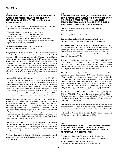### ABSTRACTS

#### **[1]**

#### **REGENERATE: A PHASE 3, DOUBLE-BLIND, RANDOMIZED, PLACEBO-CONTROLLED MULTICENTER STUDY OF OBETICHOLIC ACID THERAPY FOR NONALCOHOLIC STEATOHEPATITIS**

Vlad Ratziu<sup>1</sup>, Arun J. Sanyal<sup>2</sup>, Leigh MacConell<sup>3</sup>, Reshma Shringarpure<sup>3</sup>, Tonya Marmon<sup>3</sup>, David Shapiro<sup>3</sup>, Zobair M. Younossi<sup>4,5</sup>

- 1. Hepatology, Hopital Pitie Salpetriere, Paris, France
- 2. Virginia Commonwealth University, Richmond, VA
- 3. Intercept Pharmaceuticals, Inc., San Diego, CA
- 4. Center for Liver Disease, Inova Fairfax Hospital, Falls Church, VA
- 5. Betty and Guy Beatty Center for Integrated Research, Inova Health System, Falls Church, VA, United States

#### **Corresponding Author's Email:** vlad.ratziu@upmc.fr **Abstract Category:** Clinical Trial Design

**Background:** Nonalcoholic Steatohepatitis (NASH) is a slowly progressive chronic liver disease without approved therapies. Patients with NASH and fibrosis are at high risk of increased mortality. Obeticholic Acid (OCA) is a selective and potent farnesoid X receptor (FXR) agonist, that has been shown to improve liver histology, including NAFLD activity score (NAS) and fibrosis, in a Phase 2 clinical trial (FLINT). Furthermore in FLINT, OCA treated patients had significant improvements in select liver biochemistries, markers of inflammation, and select cardiometabolic parameters. The ongoing, randomized, global, Phase 3 study REGENERATE, will further evaluate the effect of OCA on liver histology and clinical outcomes in patients with biopsy-confirmed NASH with stage 2-3 fibrosis.

**Methods:** 2065 patients will be randomized 1:1:1 to 10 mg OCA, 25 mg OCA or placebo each added to standard of care. An interim analysis at 18 months will evaluate the effect of OCA on liver histology. Total study duration is driven by time required to accrue a total of 264 outcome events and is estimated to be  $\sim$ 6 years. Safety assessments will include adverse events (AEs), adjudicated cardiovascular events, and hepatic events as well as laboratory assessments. The effect of OCA on NASH and fibrosis severity will also be assessed by multiple noninvasive methods (FIB-4, APRI, transient elastography, magnetic resonance elastography, etc.).

**Analysis:** The co-primary liver histology endpoints at 18 months include: (I) improvement in fibrosis by  $\geq 1$  stage with no worsening of NASH and (II) resolution of NASH with no worsening in fibrosis stage. Further, confirmation of clinical benefit of OCA will be assessed at the end of the study by comparing the time to first occurrence of any of the following adjudicated events: histological progression to cirrhosis; uncontrolled ascites; hospitalization for: variceal bleed, hepatic encephalopathy or spontaneous bacterial peritonitis; hepatocellular carcinoma; liver transplant or eligibility for liver transplant (defined by model for end stage liver disease (MELD) score ≥15); and death.

**Conclusions:** REGENERATE is the first pivotal study in NASH, designed in conjunction with FDA and meant to support approval of OCA for NASH with fibrosis. This robust Phase 3 study is designed to evaluate the effect of OCA on liver histology and effects on progression to cirrhosis, liver-related clinical outcomes and mortality.

**Previously Presented at**: EASL 2016, EASL Monothematic: NASH Beyond the Acronym, Swiss Society of Gastroenterology Annual Meeting 2016, UEGW 2016.

#### **[2]**

#### **A DISEASE SEVERITY INDEX (DSI) FROM THE HEPQUANT®- SHUNT TEST IS REPRODUCIBLE AND QUANTIFIES HEPATIC IMPAIRMENT IN PATIENTS WITH NON-ALCOHOLIC STEATOHEPATITIS (NASH), CHRONIC HEPATITIS C (CHC), AND PRIMARY SCLEROSING CHOLANGITIS (PSC)**

Gregory T. Everson<sup>1</sup>, James R. Burton, Jr.<sup>1</sup>, Steve Helmke<sup>1</sup>, Shannon Lauriski<sup>1</sup>

1. University of Colorado, Denver, CO

**Corresponding Author's Email:** greg.everson@ucdenver.edu **Abstract Category:** Diagnostic procedures NASH/liver fibrosis

**Background/Aim**: The dual cholate test (HepQuant®-SHUNT) yields a disease severity index, DSI, that quantifies global liver function and physiology. Herein, we define the performance and reproducibility of DSI across a spectrum of chronic liver diseases, including Non-Alcoholic SteatoHepatitis (NASH), Chronic Hepatitis C (CHC), and Primary Sclerosing Cholangitis (PSC).

**Patients:** 16 healthy controls, 16 patients with CHC (8 with METAVIR fibrosis stage F0 to F2, 8 with F3 or F4), 16 patients with NASH (8 with BRUNT/KLEINER fibrosis stage F0 to F2, 8 with F3 or F4), and 46 patients with a wide clinical spectrum of PSC were studied. CHC and NASH patients with cirrhosis had compensated disease.

**Methods:** Controls, HCV, and NASH cases were tested 3 times, and PSC cases twice. Hepatic filtration rates (HFRs) were defined from clearances of cholic acid-24-13C, 20 mg intravenously (systemic), and cholic acid-2,2,4,4-d4, 40 mg orally (portal). Clearances were calculated from labeled cholate serum concentrations at baseline and 5, 20, 45, 60, and 90 minutes after simultaneous IV cholic acid-24-13C and oral cholic acid-2,2,4,4-d4 administration. DSI was calculated from HFRs: DSI = 10.86 x SQRT  $[(Log_e 51.69 - Log_e 4] \text{ Portal HFR})^2 + (Log_e 10.72 - Log_e 5) \text{ systemic HFR})^2]$ 

**Results:** The means  $\pm$  SDs of DSIs for NASH (16.8  $\pm$  3.4), HCV (18.9  $\pm$ 6.0), and PSC (18.2  $\pm$  7.4) were higher than for controls (9.8  $\pm$  3.3) (p < 0.001) and correlated with fibrosis stage in NASH and HCV. The average deviation from the mean of replicates was  $0.94 \pm 0.86$  DSI units. Intra-class correlations for DSI were > 0.90.

**Conclusion,** DSI quantifies hepatic impairment and is reproducible over a broad spectrum of etiologies of liver disease, stages of fibrosis, and clinical severity. The minimally invasive HepQuant®- SHUNT test could be useful for defining severity and monitoring progression of chronic liver diseases, including Non-Alcoholic SteatoHepatitis (NASH), Chronic Hepatitis C (CHC), and Primary Sclerosing Cholangitis (PSC).

#### **[3]**

#### **STAGING FIBROSIS AND EXCLUDING ADVANCED FIBROSIS IN PATIENTS WITH NAFLD: COMPARISON OF NON-INVASIVE MARKERS IN AN INTERIM ANALYSIS FROM A PROSPECTIVE MULTICENTRE STUDY**

P. Newsome<sup>1</sup>, P. Eddowes<sup>1</sup>, Q. Anstee<sup>2</sup>, N. Guha<sup>3</sup>, D. Sheridan<sup>4</sup>, E. Tsochatzis<sup>5</sup>, J. Cobbold<sup>6</sup>, M. Allison<sup>7</sup>, V. Paradis<sup>8</sup>, P. Bedossa<sup>8</sup>

- 1. Centre for Liver Research, Birmingham, UK
- 2. Institute of cellular medicine, Newcastle upon Tyne, UK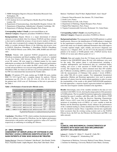- 3. NIHR Nottingham Digestive Diseases Biomedical Research Unit, Nottingham, UK
- 4. Plymouth University, UK
- 5. UCL Institute for Liver and Digestive Health, Royal Free Hospital, London, UK
- 6. Department of Gastroenterology, John Radcliffe Hospital, Oxford, UK
- 7. Department of Hepatology, Addenbrooke's Hospital, Cambridge, UK
- 8. Department of Pathology, Beaujon Hospital, Paris, France

#### **Corresponding Author's Email:** p.n.newsome@bham.ac.uk **Abstract Category:** Diagnostic procedures NASH/liver fibrosis

**Background/aim:** Hepatic fibrosis is a major determinant of clinical outcomes in non-alcoholic fatty liver disease (NAFLD) and there remains a clear need to establish the accuracy of non-invasive markers of fibrosis. This study aims to prospectively compare the diagnostic performance and ability to exclude advanced fibrosis of the following non-invasive tests in NAFLD: FibroScan, FibroMeter V, FibroMeter NAFLD, FibroMeter VCTE, NAFLD Fibrosis score (NFS), Fib4, APRI, BARD and AST/ALT ratio.

**Methods:** Patients with suspected NAFLD prospectively underwent FibroScan examination and blood sampling within 2 weeks of a standard of care liver biopsy (LB) between March 2014 and January 2016 at seven UK centres. LB were staged in a blinded manner by two expert pathologists according to the NASH CRN system. Diagnostic performance was assessed in terms of area under the ROC curves (AUC). Ability to exclude advanced fibrosis was assessed using published cut-offs except for FibroMeter (FM), for which cut-offs have not yet been published. Cut-offs for FM were determined that maximized the Youden index.

**Results:** 155 patients (57% male, median age 54 [IQR 20] years, median BMI 33.2 [8.1] kg/m²) had a complete dataset for analysis. Fibrosis distribution was: F0: 23%, F1: 25%, F2: 21%, F3: 25%, F4: 6%. 43% of the patients had a NAS score ≥5. Performance of the tests is presented in the Table 1.

#### **Table 1. Performance of non-invasive fibrosis scores.**

|                                                                                   | Performance to stage fibrosis (AUC [95%CI]) |                          |                          | Ability to exclude F≥3                 |                            |  |
|-----------------------------------------------------------------------------------|---------------------------------------------|--------------------------|--------------------------|----------------------------------------|----------------------------|--|
|                                                                                   | F <sub>2</sub>                              | F <sub>23</sub>          | $F = 4$                  | <b>Cutoff</b>                          | PPV / NPV                  |  |
| FibroScan                                                                         | $0.79$ [0.72-0.86]                          | $0.84$ $10.77 - 0.901*$  | $0.92$ [0.85-0.98]       | $9.6 + 13$                             | 0.65/0.87                  |  |
| <b>FMVCTE</b>                                                                     | $0.80$ [0.73-0.87]                          | $0.89$ [0.83-0.95]       | $0.93$ [0.87-1.00]       | 0.411                                  | 0.67 / 0.93                |  |
| <b>FMV</b>                                                                        | $0.75$ [0.67-0.82]*                         | $0.83$ $(0.76 - 0.90)^*$ | $0.89$ [0.79-0.99]       | 0.401                                  | 0.55/0.91                  |  |
| <b>FMNAFLD</b>                                                                    | $0.74$ /0.66-0.82/*                         | $0.81$ /0.74-0.89/*      | $0.85$ /0.74-0.96/*      | 0.331                                  | 0.59/0.89                  |  |
| Fib4                                                                              | $0.72$ [0.64-0.80]*                         | $0.81$ /0.73-0.88/*      | $0.87$ [0.79-0.95]*      | $-1.445 + 14$<br>$0.676\text{*}^{[4]}$ | 0.51/0.90<br>0.64/0.72     |  |
| <b>NFS</b>                                                                        | $0.70$ [0.61-0.78]*                         | $0.78$ [0.70-0.85]*      | $0.80$ [0.68-0.92]*      | $1.30+14$<br>$3.25 + 14$               | 0.61 / 0.87<br>0.67 / 0.71 |  |
| <b>APRI</b>                                                                       | $0.71$ $(0.62 - 0.79)^*$                    | $0.71$ [0.63-0.80]*      | $0.82$ [0.74-0.90]*      | $1+14$                                 | 0.54/0.70                  |  |
| AST/ALT                                                                           | $0.59$ [0.50-0.68]*                         | $0.69$ [0.60-0.78]*      | $0.77$ [0.61-0.93]*      | $0.8 + 41$<br>$1 + [4]$                | 0.46/0.79<br>0.50 / 0.74   |  |
| <b>BARD</b>                                                                       | $0.65$ [0.57-0.74]*                         | $0.69$ [0.61-0.78]*      | $0.73$ $(0.63 - 0.84)^*$ | $2+14$                                 | 0.41 / 0.84                |  |
| AUC significantly different FMVCTE (*), unilateral Delona test for AUC comparison |                                             |                          |                          |                                        |                            |  |

Cutoffs were either as published (1) or established by maximizing Youden index (1)

**Conclusion:** FibroMeter VCTE, which combines biochemical parameters with liver stiffness measured by FibroScan, has the highest performance characteristics with positive and negative predictive values of 67 and 93% respectively at confirming or excluding ≥F3 fibrosis**.**

# **[4 - ORAL WINNER]**

#### **ASSESSMENT OF SERUM LEVELS OF CHITINASE-3-LIKE PROTEIN 1 (CHI3L1) IMPROVES IDENTIFICATION OF THE NASH PATIENTS AT RISK WHO SHOULD BE TREATED**

Stephen Harrison<sup>1</sup>, Genevieve Cordonnier<sup>2</sup>, John Brozek<sup>2</sup>, Alice Roudot<sup>2</sup>, Emilie Praca<sup>2</sup>, Fouad Ben Sudrik<sup>2</sup>, Sophie Megnien<sup>2</sup>, Rémy Hanf<sup>2</sup>, Bart Staels<sup>3</sup>, Pierre

Bedossa<sup>4</sup>, Vlad Ratziu<sup>5</sup>, Dean W. Hum<sup>2</sup>, Raphael Darteil<sup>2</sup>, Arun J. Sanyal<sup>6</sup>

- 1. Pinnacle Clinical Research, San Antonio, TX, United States
- 2. Genfit, Loos, France
- 3. Institut Pasteur de Lille, Lille, France
- 4. Department of Pathology, Hopital Beaujon, Paris, France
- 5. Hopital Pitie Salpetriere, Paris, France
- 6. Virginia Commonwealth University, Richmond, VA, United States

**Corresponding Author's Email:** remy.hanf@genfit.com **Abstract Category:** Diagnostic procedures NASH/liver fibrosis

**Background and aims:** The management of the NASH epidemic is a global health priority. However, the identification of NASH patients is hampered by the requirement to perform a liver biopsy to make the diagnosis. The goal of this study was to identify additional biomarkers that could improve a recently reported simple, rapid, reliable, non-invasive diagnostic test (Sanyal et al., J. Hepatol. 2016, vol. 64, S717) for the detection of NASH patients to be treated, ie NASH patients with a NAFLD Activity Score (NAS) of 4 or more and a fibrosis grade of 2 or 3.

**Methods:** Data and samples from the 274 biopsy proven NASH patients included in the GOLDEN505 phase IIb trial with elafibranor were used for this study. This patient cohort is well-characterized, including a complete anthropometric and biochemical data set, centralized biopsy reading, and covers a wide spectrum of NASH disease activity and severity. The original data set, which contained more than 100 variables plus 9 different circulating miRNAs assessed at baseline, was completed with the measurements of Chitinase-3-like protein 1 levels (CHI3L1, also called YKL-40) in serum samples. Two independent biostatistical approaches (Median and Bootstrap approaches) were used to generate thousands of cohorts from the initial patient population in order to assure the translatability of the results to the global NAFLD/NASH population. For both approaches, a stepwise logistic regression method was applied to select the most frequent variables included in the algorithms.

**Results:** Interestingly, none of the variables included in the data set were correlated with CHI3L1 levels, showing the unique pattern of this parameter in NASH patients. The two parallel biostatistical approaches independently identified the same 6 variables: miR-200a, miR-34a, A2M, HbA1c, P3NP and CHI3L1. The Area Under the Receiver Operating Characteristic (ROC) Curves (AUC) were 0.84 for both approaches. Conclusion: The inclusion of circulating levels of CHI3L1 as a new variable to both the Median and the Bootstrap algorithms clearly enhances the performances of the 2 methods leading to a better identification of the NASH patients at risk who should be treated. These 2 algorithms showed also significantly better accuracies than the existing scoring systems such as the NAFLD Fibrosis Score, the ELF test, the Fibrotest, the Fibrometer and FIB-4. (no table selected)

#### **[5]**

#### **CLINICAL AND BIOCHEMICAL CHARACTERISTICS OF PATIENTS WITH NASH AND HIGH INFLAMMATORY ACTIVITY ON LIVER HISTOLOGY**

Labenz  $C^1$ , Gehrke N.<sup>1</sup>, Huber Y.<sup>1</sup>, Straub B.<sup>2</sup>, Galle P.R.<sup>1</sup>, Wörns M.A.<sup>1</sup>, Schuppan D.<sup>3</sup>, Schattenberg J.M.<sup>1</sup>

- 1. Department of Medicine, University Medical Center Mainz, Germany
- 2. Institute for Pathology, University Medical Center Mainz, Germany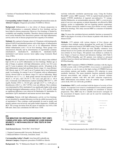3. Institute of Translational Medicine, University Medical Center Mainz, Germany

**Corresponding Author's Email:** joern.schattenberg@unimedizin-mainz.de **Abstract Category:** Diagnostic procedures NASH/liver fibrosis

**Background:** Inflammation is a key driver of disease progression in NASH. Inflammation is commonly defined by liver histology and has been linked to disease progression. However, liver histology is limited by availability and sampling variability. Therefore clinical characteristics and novel serum biomarker that characterize patients with high inflammatory activity and at risk of disease progression have urgently to be defined.

**Methods:** We explored a German cohort of 130 patients with histologically defined NAFLD and identified patients with a high degree of inflammation (Kleiner lobular inflammation score ≥2) or no inflammation (Kleiner lobular inflammation score  $= 0$ ) on liver histology. These groups were characterized clinically and by determination of experimental cytokines (interleukin-8, interleukin-10, interleukin-1b, interleukin-12p70, interleukin-6 and tumour necrosis factor alpha) using Cytometric Bead Array (CBA).

**Results:** Overall 19 patients were included into this analysis that exhibited high (n=10) or no (n=9) inflammation on liver histology. Median age at date of biopsy in patients with high inflammatory activity was 52.6 years and 51.3 years in patients with no inflammatory activity All patients in the high inflammatory group had significant fibrosis (stage 2-4, mean Kleiner/ SAF fibrosis stage of 2.57) and 8 out of 9 patients had at least ballooning grade I on histology. In contrast 9 out of 10 patients with no inflammatory activity showed mild or no fibrosis (stage 0-1) and no ballooning. Mean NAS-Score was 5.3 vs. 1.2.. Both groups showed elevated levels of AST (60.25 vs. 45 iu/L), ALT (76.375 vs. 69.1 iu/L) and gGT (82 vs. 191.8 iu/L). Commonly used inflammatory markers including CRP (5.67 vs. 2.90 mg/dl), Ferritin (195.0 vs. 161.46 ug/L) and IgG (14.77 vs. 11.09 g/L) or thrombocytes (228.3 vs. 238.7 10^9/L) were not different. Next cytokines were determined by CBA: interleukin-8 was significantly higher in the group with high histological inflammatory activity  $(23.56 \text{ vs. } 9.91, \text{ p=0.05})$ , while no significant differences were observed for Interleukin-10, interleukin-1b, interleukin-12p70, interleukin-6 and tumour necrosis factor alpha.

**Conclusion:** Patients with high inflammatory activity on liver histology are not identified by standard laboratory test but do exhibit increased levels of interleukin-8. Thus cytokines could potentially be used to stratify and identify patients non-invasively and guide further diagnostics. NASH and HCV. The average deviation from the mean of replicates was  $0.94 \pm 0.86$ DSI units. Intra-class correlations for DSI were > 0.90.

#### **[6] THE BREATHID 13C-METHACETIN BREATH TEST (MBT) CORRELATES WELL WITH DEGREE OF LIVER DISEASE SEVERITY: A META-ANALYSIS OF 1992 TESTS IN 1549 SUBJECTS**

 $\operatorname{Todd}$  Richard Stravitz<sup>1</sup>, Yaron Ilan<sup>2</sup>, Arun Sanyal<sup>1</sup>

1. Virginia Commonwealth University, Richmond, VA, USA 2. Hadassah Hebrew University, Jerusalem, Israel.

**Corresponding Author's Email:** Arun.Sanyal@vcuhealth.org **Abstract Category:** Diagnostic procedures NASH/liver fibrosis

**Background:** The <sup>13</sup>C-Methacetin Breath Test (MBT) is a non-invasive

real-time molecular correlation spectroscopy assay. Using the Exalenz BreathID® system, MBT measures 13CO2 in expired breath produced by hepatic CYP450 metabolism of ingested non-radioactive <sup>13</sup>C isotopelabelled Methacetin, an acetaminophen precursor. MBT is a non-invasive point of care test, non-operator or patient dependent, not affected by BMI, etiology, ascites or implantables and not requiring patient cooperation. MBT has been extensively studied to assess liver disease severity, usually defined by histology. This study assessed MBT as a measure of metabolic liver function.

**Aim:** To assess the correlation between metabolic function as measured by MBT to the degree of severity of liver disease in patients with chronic liver disease (CLD).

**Methods:** 1375 patients with various degrees of liver disease and etiologies from multiple studies throughout the world and 174 healthy volunteers underwent a total of 1992 MBTs using 75mg of 13C-Methacetin oral solution including 443 follow up visits. Healthy volunteers were defined based on liver profile and ultrasound; 628 patients were defined non-cirrhotic by liver biopsy; 364 patients were defined as cirrhotic by liver biopsy or based on clinical and laboratory findings with Child A and/or HVPG<10mmHg; and 383 patients were defined as advanced cirrhotic based on clinical and laboratory findings with Child B/C and/or HVPG≥10mmHg.

**Results:** MBT Cumulative PDR20 (CPDR20) correlates with the degree of CLD severity with r=-0.69 (p<0.0001). Liver reserve is maintained in non-cirrhotics, as can be seen in the high overlap of CPDR20 between non-cirrhotic patients and healthy volunteers (9% reduction in mean metabolic function). The mean metabolic function markedly declined between non-cirrhotic and cirrhotic as well as between cirrhotic and advanced cirrhotic with 40% and 60% reduction respectively. MBT differentiated non-cirrhotic from all cirrhotic stages combined (AUC=0.86, 95% CI: 0.85-0.88; p<0.0001).

**Conclusions:** MBT is well correlated with the degree of severity of liver disease. As expected, liver reserve is maintained in non-cirrhotic patients while metabolic function declined gradually in correlation to disease progression. Thus, MBT may be a valuable non-invasive surrogate for the assessment of hepatic reserve and can be used for monitoring of disease progression.



This Abstract has been presented at the AASLD 2016 Conference.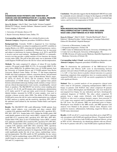#### **[7] DIAGNOSING NASH PATIENTS AND THEIR RISK OF VARICES AND DECOMPENSATION BY A GLOBAL MEASURE OF LIVER FUNCTION, THE HEPQUANT®-SHUNT TEST**

Steve M. Helmke<sup>1</sup>, John D. Marr<sup>2</sup>, Jane Gralla<sup>1</sup>, Kristen Campbell<sup>1</sup>, Michael W. Cookson<sup>1</sup>, Jennifer DeSanto<sup>1</sup>, Shannon Lauriski<sup>1</sup>, James F. Trotter<sup>2</sup>, Gregory T. Everson<sup>1</sup>

1. University of Colorado, Denver, CO

2. Baylor University Medical Center, Dallas, TX

**Corresponding Author's Email:** steve.helmke@ucdenver.edu **Abstract Category:** Diagnostic procedures NASH/liver fibrosis

**Background/Aim**: Currently NASH is diagnosed by liver histology. Because NASH biopsies are subject to sampling error and 40% variability in staging (Ratziu, et al, 2005), assessing risk for portal hypertension, varices, and liver decompensation is problematic. FibroScan may be inaccurate and subject to interference by steatosis (Durango, et al, 2013), and HVPG is invasive and not used routinely. HepQuant®-SHUNT is a minimallyinvasive test that provides a global measure of liver function, the disease severity index (DSI). The goal of this pilot study was to determine if DSI could diagnose NASH and assess the risk for varices and decompensation.

**Methods**: The study comprised 81 subjects, of whom 50 were healthy controls, (30 normal weight (BMI 18.5-25), 16 overweight (BMI 25-30), and 4 obese (BMI>30)). In addition there were 16 NASH patients from the University of Colorado Denver and 15 NASH patients from Baylor University Medical Center Dallas. Of these, 27 had biopsy-diagnosed NASH, and 4 had cryptogenic cirrhosis, concurrent obesity, and presumed late stage NASH. Patients had a range of Brunt-Kleiner fibrosis stages, F1 (N=4), F2 (N=4), F3 (N=5), and F4 (cirrhosis, N=18). Clinical manifestations of NASH disease severity were captured from patient histories and included endoscopy findings (small, medium, or large varices) and any clinical decompensation events (ascites, encephalopathy, variceal bleed, or jaundice). The HQ-SHUNT test involves serum sampling prior to, and at 5, 20, 45, 60, and 90 minutes after simultaneous administration of IV cholic acid-24-13C and oral cholic acid-2,2,4,4-d4. Clearances of labeled cholates, measured by LCMS of serum samples, were used to calculate a disease severity index (DSI). The ability of DSI to diagnose NASH and to assess the risk for varices and decompensation was evaluated by ROC analyses (c-statistic and the sensitivity, specificity, PPV, NPV at the optimum cutoff defined by the maximum Youden Index) and logistic regression.

**Results:** The HQ-SHUNT DSI could differentiate NASH patients from healthy control subjects, even overweight and obese controls (ROC c-statistic 0.94, optimum cutoff DSI >16.5, sensitivity 84%, specificity 98%, PPV 96%, NPV 91%, Youden Index 0.82). Within the NASH cohort, DSI could identify patients at risk of any varices (ROC c-statistic 0.87, optimum cutoff DSI >21.2, sensitivity 86%, specificity 82%, PPV 80%, NPV 88%, Youden Index 0.68), those at risk of medium/large varices (ROC c-statistic 0.93, optimum cutoff DSI >28.0, sensitivity 89%, specificity 91%, PPV 80%, NPV 95%, Youden Index 0.80), and those at risk of decompensation (ROC c-statistic 0.99, optimum cutoff DSI >28.0, sensitivity 100%, specificity 95%, PPV 90%, NPV 100%, Youden Index 0.95). By logistic regression, DSI was a highly significant predictor for diagnosing NASH, and also DSI could significantly predict the risk of any varices, medium/large varices, and decompensation. The DSI cutoffs for 50% probability for any varices (DSI 24.7) and for medium/large varices (DSI 30.4) were similar to the DSI cutoffs found in a previous study of varices risk in 217 HCV patients (DSI 24.8 and 33.2, respectively).

**Conclusions**: This pilot data suggests that the HepQuant®-SHUNT test could be a minimally-invasive alternative to biopsy for the diagnosis of NASH. DSI could be a measurement for assessing risk for any varices, for medium/large varices, and for liver decompensation in NASH.

#### **[8]**

#### **NON-INVASIVE MULTIPARAMETRIC MRI(LIVERMULTISCANTM) EFFECTIVELY EXCLUDES NASH AND LIVER FIBROSIS IN AT RISK PATIENTS**

Henry R. Wilman<sup>1,2</sup>, Matt D. Kelly<sup>2\*</sup>, Natasha MacDonald<sup>3</sup>, Peter J. Eddowes<sup>4</sup>, Micheal Pavlides<sup>5</sup>, Stefan Neubauer<sup>5</sup>, Jonathan Fallowfield<sup>3</sup>, Gideon M. Hirschfield<sup>4</sup>, Rajarshi Banerjee<sup>2</sup>

- 1. University of Westminster, London, UK
- 2. Perspectum Diagnostics, Oxford, UK
- 3. MRC Centre for Inflammation Research, University of Edinburgh, UK
- 4. Centre for Liver Research, University of Birmingham, UK
- 5. OCMR, Division of Cardiovascular Medicine, Radcliffe Department of Medicine, University of Oxford, UK

**Corresponding Author's Email:** matt.kelly@perspectum-diagnostics.com **Abstract Category:** Diagnostic procedures NASH/liver fibrosis

**Aim:** To characterise the performance of the MRI-derived Liver Inflammation and Fibrosis (LIF) score in discriminating between patients with and without NASH and significant fibrosis (Kleiner-Brunt > 1). LIF > 2 has been shown to predict clinical outcomes in a general hepatology outpatient clinic population, here we examine patients with suspected NASH only, to see if LIF can enrich a population for NASH with significant fibrosis.

**Method:** This is a pooled analysis of two prospective clinical trials with a total of 120 patients, comparing multiparametric MRI to liver biopsy in patients with NAFLD. One cohort comprised 50 patients from two centres (Birmingham and Edinburgh), who were booked for non-targeted liver biopsy for any indication and had a histologically confirmed diagnosis of NAFLD. The other cohort comprised 70 patients from a single centre (Oxford), with NAFLD, suspected NAFLD, or who were to undergo bariatric surgery. Iron-corrected T1 (cT1) maps were acquired with Liver*MultiScan* and used to calculate the LIF score. For all patients, MRI was performed prior to biopsy. Histologists were blinded to the MRI results, and MRI operators and analysts were blinded to the patients' clinical status. Biopsies were graded for steatosis, inflammation, ballooning, staged for fibrosis, and NASH status determined.

**Results:** A LIF cut-off of 2, as previously described, gives a high NPV to rule out patients with NASH and significant fibrosis. 29 patients had LIF < 2; 24 of these did not have both NASH and significant fibrosis, giving an NPV of 0.83. Alternatively, for identifying patients with any disease, 89 of the 91 patients with LIF  $\geq$  2 had NASH and/or significant fibrosis.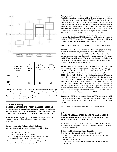

|                 | No<br>NASH; no<br>significant<br>fibrosis | No<br>NASH;<br>significant<br>fibrosis | NASH;<br>no significant<br>fibrosis | NASH:<br>significant<br>fibrosis |
|-----------------|-------------------------------------------|----------------------------------------|-------------------------------------|----------------------------------|
| LIF $<$ 2       | 11                                        |                                        | 8                                   |                                  |
| LIF<br>$\geq 2$ |                                           | 10                                     | 20                                  | 59                               |

**Conclusions:** LIF can rule out NASH and significant fibrosis with a high NPV. This enables clinicians to stratify patients with suspected NASH, including identifying those who would not benefit from a liver biopsy. This should improve healthcare delivery and also enrich recruitment for clinical trials that rely on biopsy-proven NASH.

#### **[9 - ORAL WINNER] 13C-METHACETIN BREATH TEST TO ASSESS PRESENCE OF CLINICALLY SIGNIFICANT PORTAL HYPERTENSION: A NOVEL TOOL FOR THE MANAGEMENT OF PATIENTS WITH COMPENSATED ADVANCED CHRONIC LIVER DISEASES**

Juan-Carlos Garcia-Pagán<sup>1</sup>, Agust'n Albillos<sup>2</sup>, Guadalupe Garcia-Tsao<sup>3</sup>, Christophe Bureau<sup>4</sup>, Pierre-Emmanuel Rautou<sup>5</sup>, Yaron Ilan<sup>6</sup>, Jaime Bosch<sup>1</sup>

**Corresponding Author's Email:** JBosch@clinic.cat **Abstract Category:** Diagnostic procedures NASH/liver fibrosis

- 1. Hospital Clinic, Barcelona, Spain
- 2. Hospital Ramón y Cajal, Madrid, Spain
- 3. Yale University School of Medicine, New Haven, CT, USA
- 4. University of Toulouse Purpan, Toulouse, France
- 5. Centre de recherche Cardiovasculaire à l'HEGP, Paris, France
- 6. Hadassah Medical University, Jerusalem, Israel

**Background:** In patients with compensated advanced chronic liver disease (cACLD), i.e. patients with advanced liver fibrosis/compensated cirrhosis, a Hepatic Venous Pressure Gradient (HVPG) ≥10mmHg is defined as Clinically Significant Portal Hypertension (CSPH), and is associated with an increased risk of varices, ascites, variceal hemorrhage, hepatic encephalopathy, hepatocellular carcinoma (HCC) and poor outcome after HCC resection. However, HVPG is invasive, not universally available, inconvenient for serial use and requires expertise and experience. The 13C-Methacetin Breath Test (MBT) using Exalenz' BreathID© system, is a non-invasive real-time molecular correlation spectroscopy system that measures the abundance of 13CO2 in expired breath exclusively produced by hepatic CYP450 metabolism of ingested non-radioactive 13C-labeled Methacetin. MBT has been shown to reflect degree of liver impairment.

**Aim:** To investigate if MBT can assess CSPH in patients with cACLD.

**Methods:** MBT, HVPG and clinical variables (demographics, etiology, blood tests, and treatments) were collected from 205 patients with cACLD who had routine measurement of HVPG. A total of 77 patients with hepatic decompensation, portal vein thrombosis, variceal bleeding, HCC direct anti-HCV therapy with recent SVR, or missing data were excluded from the analysis. The relationship between collected parameters and HVPG was analyzed by logistic regression modeling.

**Results:** Analysis was conducted on 128 patients (62.5% males) with 61.7% having CSPH. Average age was 60.3 years (±9.99). Etiology of cACLD was 62% HCV, 13% NASH, 11% ASH, 3% HBV and 12% others, including HIV/HBV or HCV co-infections. The developed model detected CSPH with an AUROC of 0.91, p<.0001. Selecting two cutoff points in the model with 90% sensitivity and 89% specificity, CSPH could be ruled in or ruled out in 74% of these patients (with 93% PPV and 85% NPV). Applying the same model for the detection of portal hypertension (PH; HVPG ≥6mmHg in 81%), the AUROC was 0.92, p<.0001. Selecting two new cutoff points with 92% sensitivity and 92% specificity, PH could be ruled in or ruled out in 80% of these patients (with 99% PPV and 61% NPV). When combining all the cutoffs there are only 3.1% of the patients that have no PH or CSPH classification by the MBT.

**Conclusions:** MBT non-invasively detects CSPH at point-of-care with high sensitivity and specificity. MBT may serve as a useful non-operator, non-etiology dependent tool in the clinical follow-up of patients with cACLD.

This Abstract has been presented at the AASLD 2016 Conference.

#### **[10]**

#### **NOVEL FIBROSCAN-BASED SCORE TO DIAGNOSE NASH AND ITS SEVERITY IN A MULTI-CENTRE UK COHORT OF PATIENTS WITH SUSPECTED NAFLD**

P. Eddowes<sup>1</sup>, Q. Anstee<sup>2</sup>, N. Guha<sup>3</sup>, D. Sheridan<sup>4</sup>, E. Tsochatzis<sup>5</sup>, J. Cobbold<sup>6</sup>, M. Allison<sup>7</sup>, V. de Ledinghen<sup>8</sup>, M. Sasso<sup>9</sup>, C. Fournier<sup>9</sup>, V. Miette<sup>9</sup>, V. Paradis<sup>10</sup>, P. Bedossa<sup>10</sup>, P. Newsome<sup>1</sup>

- 1. Centre for Liver Research, Birmingham, UK
- 2. Institute of cellular medicine, Newcastle upon Tyne, UK
- 3. NIHR Nottingham Digestive Diseases Biomedical Research Unit, Nottingham, UK
- 4. Plymouth University, UK
- 5. UCL Institute for Liver and Digestive Health, Royal Free Hospital, London, UK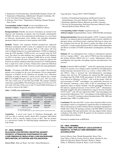- 6. Department of Gastroenterology, John Radcliffe Hospital, Oxford, UK
- 7. Department of Hepatology, Addenbrooke's Hospital, Cambridge, UK
- 8. Liver Unit, Haut-Lévêque hospital, Pessac, France
- 9. Echosens, Paris, Franc; <sup>10</sup>Department of Pathology, Beaujon Hospital, Paris, France

**Corresponding Author's Email:** p.n.newsome@bham.ac.uk **Abstract Category:** Diagnostic procedures NASH/liver fibrosis

**Background/aims:** Reliable non-invasive biomarkers are needed for the diagnosis and monitoring of patients with non-alcoholic steatohepatitis (NASH). Our study set out to determine the performance of a score based on Fibroscan measurements (liver stiffness and controlled attenuation parameter linked to steatosis) to detect patients with NASH.

**Methods:** Patients with suspected NAFLD prospectively underwent FibroScan examination within 2 weeks of a standard of care liver biopsy (LB) between March 2014 and January 2016 at 7 UK centers. LB were read in a blinded manner by two expert pathologists. NASH was diagnosed using the FLIP algorithm. NASH severity was assessed using the NAS score. The cohort was split randomly into a training (80%) and validation set (20%) to develop a score to diagnose NASH and its severity. Sample splitting was repeated 100 times. Eventually one model was selected and tested on an external validation cohort that consisted of 47 NAFLD patients from a single liver centre in France. Patients there underwent FibroScan examination within 1 day of LB, which were read by the same pathologists.

**Results:** 174 patients with BMI <40 kg/m<sup>2</sup> were studied. The following patients were excluded for the score development: LB not interpretable/ diagnostic of NAFLD (n=18), FibroScan not feasible (n=1), FibroScan unreliable according to Boursier's criteria (n=10). Patients had a median BMI of 32.9 [IQR=6.9]  $\text{kg/m}^2$  and age of 54 [21] years. 58% were male, 74% had a NAS score ≥3 and 58% had NASH. The external validation cohort had a median BMI of 30.0 [8.0] kg/m<sup>2</sup> and age of 53 [22] years. 67% were male, 82% had a NAS score ≥3 and 71% had NASH. Performance of the scores is shown in the Table 1.

#### *Table 1. NASH scores performance.*

|              |                   | <b>Training Set</b>            | <b>Validation set</b> | <b>External validation</b> |
|--------------|-------------------|--------------------------------|-----------------------|----------------------------|
|              |                   | $(N=116)$                      | $(N=28)$              | $(N=43)$                   |
| Repeated     | NAS <sub>23</sub> | AUC=0.85±0.02                  | $AUC = 0.85 \pm 0.07$ | AUC=0.89±0.00              |
| split sample |                   | NASH (FLIP) AUC=0.85±0.02      | AUC=0.83±0.08         | AUC=0.85±0.01              |
|              | $NAS \geq 3$      | $AUC=0.85$                     | $AUC=0.87$            | $AUC=0.89$                 |
| Selected     |                   | $C=0.45$ , $CC=0.83$           | $CC = 0.86$           | $CC = 0.86$                |
| scores       | NASH (FLIP)       | AUC=0.84                       | $AUC=0.88$            | $AUC=0.84$                 |
|              |                   | $C=0.67$ , $CC=0.76$           | $CC = 0.82$           | $CC = 0.79$                |
|              |                   | AUC: area under the ROC curve. |                       |                            |

CC: correctly classified patients, cut-off (C) maximizing negative + positive predictive values.

**Conclusion:** A novel score based on FibroScan Elastography and CAP was able to correctly classify almost 80% of patients with/without NASH as well as correctly staging severity in 86%. This has promise as a non-invasive marker for detecting/staging inflammation in patients with NASH.

**[11 - ORAL WINNER]**

#### **GLUCAGON-LIKE PEPTIDE-1 RECEPTOR AGONIST POTENTLY ATTENUATES STEATOHEPATITIS AND LIVER FIBROSIS BY REGULATING LIVER MACROPHAGE INFILTRATION, ACTIVATION AND POLARIZATION**

Xiaoyu Wang<sup>1</sup>, Shih-yen Weng<sup>1</sup>, Tao Chen<sup>1</sup>, Olena Molokanova<sup>1</sup>,

Yong Ook Kim<sup>1</sup>, Thomas Klein<sup>2</sup>, Detlef Schuppan<sup>1,3</sup>

- 1. Institute of Translational Immunology and Research Center for Immunotherapy, University Medical Center, Mainz, Germany
- 2. Boehringer Ingelheim Pharma, Biberach an der Riss, Germany
- 3. Division of Gastroenterology, Beth Israel Deaconess Medical Center, Harvard Medical School, Boston, USA

**Corresponding Author's Email:** wang@uni-mainz.de **Abstract Category:** Experimental/basic science, NAFLD/NASH, non-humans

**Background and aims:** Glucagon-like peptide-1 (GLP-1) improves insulin sensitivity via enhanced glucose-dependent insulin secretion, inhibition of glucagon release, and delayed gastric emptying following its release into the circulation from the gut. We aimed to explore the utility of the longacting GLP-1 receptor agonist Bydureon (BY) to address both inflammation and fibrosis in models of NASH (nonalcoholic steatohepatitis) and biliary fibrosis.

**Methods:** BY was administered twice weekly by subcutaneous injection of 0.4 or 2 mg/kg to  $Mdr2^{-/-}$  mice, and to C57BL/6 mice fed a methionine and choline deficient (MCD) diet for 4 weeks. Inflammation, fibrosis, steatohepatitis and especially macrophage function and polarization were assessed.

**Results:** In both the MCD and Mdr2<sup>-/-</sup> model, BY significantly decreased serum liver enzymes, liver collagen content, and fibrosis and inflammation related transcripts and protein levels (e.g., Col1a1, α-Sma, CD68, CCL3, and TNF $\alpha$ ), while it increased the (anti-inflammatory) macrophage markers Arg1 and Ym1. BY treatment also reduced the IHC expression of collagen type III, CD68, F4/80 and caspase3. In FACS analysis MCD livers showed no difference in  $CD11c^+$  cells in all the groups, while the total percentage of F4/80<sup>+</sup> macrophages was significantly decreased on BY treatment, indicating a direct effect of BY on macrophages but no significant impact on hepatic dendritic cell (DC) populations. Moreover, BY induced a significant decrease of liver  $CD11b<sup>+</sup>Ly6C<sup>h1</sup>$  inflammatory/ fibrogenic myeloid cells and accompanied by a massive increase of hepatic  $CD11b<sup>+</sup>Ly6C<sup>10</sup>$  cells. BY also reduced the  $CD68<sup>+</sup>$  total macrophages and increased anti-inflammatory  $Ym1$ <sup>+</sup> macrophages in both epididymal tissue and liver. Overall BY treatment reduced phosphorylation JNK, ERK and phosphorylated- ERK1/2 (p-ERK) levels.

**Conclusions:** We show that GLP-1 exerts a direct beneficial effect on liver macrophages which is accompanied by significant effects on inflammation, fibrosis and steatosis in models of biliary fibrosis and hepatic lipoapoptosis/ NASH. GLP-1/GLP-1R signaling correlates with JNK/ ERK1/2 activation and macrophage (M2-type) polarization. Our data support further clinical evaluation of the utility of GLP-1R agonists for the treatment of patients with NASH and liver fibrosis.

Presented in modified form at DDW2016.

#### **[12 - ORAL WINNER] PNPLA3 148M LIPID DROPLET LOCALIZATION IS ESSENTIAL TO PNPLA3 148M-DEPENDENT LIPID ACCUMULATION**

Jessica Callaway Jones, Wanida Ruangsiriluk, Sherry Chin, Trent T Ross, Collin P. Crowley, David A. Beebe, Nicholas B. Vera, Enida Ziso Qejvanaj, Mylene Perreault, Thomas V. Magee, Jeffrey A. Pfefferkorn, Kendra K. Bence, Cecile Vernochet.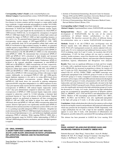#### **Corresponding Author's Email:** cecile.vernochet@pfizer.com **Abstract Category:** Experimental/basic science, NAFLD/NASH, non-humans

Nonalcoholic fatty liver disease (NAFLD) is the most common cause of liver disease in western countries and has emerged as a major public health issue worldwide. A single nucleotide polymorphism in residue 148 (I148M, rs738409) of patatin-like phospholipase-3 (PNPLA3) is the strongest genetic determinant of NAFLD and NASH but the mechanism remains largely unknown. In order to gain insight into the mechanism(s) by which PNPLA3 148M increases NAFLD risk, we investigated the consequences of targeted PNPLA3 148M lipid droplet (LD) localization to cellular lipid content and examined the impact of PNPLA3 148M on lipid remodeling dynamics *in vitro* and *in vivo*. We generated human hepatocyte stable cells lines (Huh7) overexpressing various mutants of GFP-tagged-hPNPLA3 (148I, 148M and the catalytically dead, S47A) and quantified cellular lipid content and PNPLA3 localization by high resolution imaging. In addition, we generated a double mutant to impair PNPLA3 148M localization to the LD (hPNPLA3 148M-195L) and generated mutants with an added sequence to drive hPNPLA3 148M localization to the ER (ER-hPNPLA3 148M) or to the mitochondria (mito-hPNPLA3 148M). We demonstrated that overexpressed hPNPLA3 148M and hPNPLA3 S47A colocalized to lipid droplets and increased Huh7 cell lipid droplet content. As expected, hPNPLA3 LD localization was impaired in hPNPLA3 148M-195L double mutant. Furthermore, hPNPLA3 localized to the expected subcellular compartments in mito-hPNPLA3 148M and in ER-hPNPLA3 148M overexpressing cell lines, respectively. Significantly, hPNPLA3 148M LD localization was necessary to increase hepatocyte cellular lipid content as hPNPLA3 148M-195L, mito-hPNPLA3 148M and ER-hPNPLA3 148M overexpressing cell lines were similar to control cells or hPNPLA3 148I overexpressing cell lines with respect to lipid content. Additionally, we investigated PNPLA3 148I- and 148M-specific hepatic lipidomic signatures *in vitro* and *in vivo* using siRNA knock down and adenovirus-mediated overexpression systems. Murine PNPLA3 (mPNPLA3) 148I knock down was successful in reducing endogenous expression 60-80% using three independent *in vivo* siRNA sequences in mice 3 days post injection under sucrose diet fed conditions. Adenovirus mediated overexpression of hPNPLA3 148I reduced hepatic triglyceride content 3 and 7 days post administration compared to adenovirus control. *In vivo* overexpression of hPNPLA3 148M increased hepatic triglyceride content compared to adenovirus control by 2.2-fold indicating a dominant lipid enrichment function in 7 days in the absence of diet intervention. Targeted lipidomic analysis was performed on hepatocyte cell lines overexpressing hPNPLA3 148I and 148M, and further in mouse liver under mPNPLA3 148I knock down and hPNPLA3 148I and 148M overexpressing adenoviral systems. Selective lipid species were significantly enriched upon hPNPLA3 148I knock down and decreased the overexpression systems (both *in vitro* and *in vivo*), pointing to possible endogenous PNPLA3 substrates. Altogether our results demonstrate that PNPLA3 148M lipid droplet localization is essential to the increased lipid phenotype *in vitro*, and furthermore highlights potential endogenous PNPLA3 substrates. While targeting PNPLA3 148M offers a potential therapeutic target for NAFLD, further understanding of PNPLA3 148I and 148M biological function, mechanism, and selective lipid signatures is required.

#### **[13 - ORAL WINNER]**

#### **A SHORT-TERM HIGH CARBOHYDRATE DIET INDUCES ACUTE LIVER INJURY, ENHANCED DE NOVO LIPOGENESIS, INFLAMMATION, FIBROSIS AND M2 MACROPHAGE POLARIZATION**

Yong Ook Kim<sup>1</sup>, Kyoung-Sook Park<sup>1</sup>, Shih-Yen Weng<sup>1</sup>, Yury Popov<sup>2</sup>, Detlef Schuppan<sup>1,2</sup>

- 1. Institute of Translational Immunology, Research Center for Immune Therapy (FZI) and the EPOS consortium, University Medical Center of the Johannes Gutenberg University Mainz, Germany
- 2. Division of Gastroenterology, Beth Israel Deaconess Medical Center, Harvard Medical School, Boston, USA

#### **Corresponding Author's Email:** kimy@uni-mainz.de **Abstract Category:** Experimental/basic science, NAFLD/NASH, non-humans

**Background/Aim:** Macro- and micro-nutrients affect the development of NAFLD/NASH, but the role of the relative contribution of defined dietary carbohydrates vs fats is understudied. We therefore assessed the effect of different dietary fat:carbohydrate ratios on a murine NAFLD/NASH development.

**Methods:** Female 6 wk old C57BL/6 mice (n=10/group) were fed Western transfat diets with different fat:carbohydrate ratios (10:68, 30:50, 59:26, kJ%; hydrogenated coconut oil, calories adjusted with cornstarch, plus  $2\%$  (w/w) cholesterol and additional fructose-sucrose  $12.6\%$ : 55:45 in drinking water) for 8 and 12 weeks. An isocaloric diet (65 kJ% carbohydrates; 13 kJ% fat from soybean oil) was used as control. At sacrifice, insulin resistance, serum liver function tests, lipid accumulation (Sudan III stain), inflammation, fibrosis, and transcripts related to lipogenic metabolism, hypoxia, inflammation and fibrogenesis were analyzed.

**Results:** There were no significant differences in body and liver weights at 8 weeks, with a significant increase only in the 59 kJ% fat group at 12 weeks. HOMA-IR was increased in proportion to dietary fat content at 8 and 12 weeks ( $p < 0.05$ ). Interestingly, liver collagen content and fibrosis related COL1A1, ACTA2, TGFB1, TIMP1, and MMP2 transcripts were significantly upregulated in the 10:68 kJ% group at 8 weeks as well as the 59:26 kJ% group at 12 weeks. Compared to moderate increases of serum parameters of liver injury (AST and LDH) and total cholesterol in the high fat diet (59:26 kJ%) group at 12 weeks, all parameters (AST, ALP, ALT, LDH, triglycerides and total cholesterol) were significantly elevated in the high carbohydrate (10:68 kJ%) group at 8 weeks. Of note, steatosis and NAS scores were also significantly increased in the high carbohydrate groups at 8 weeks but decreased at 12 weeks. At 8 weeks, steatosis in the high carbohydrate group was accompanied by upregulated expression of lipogenic markers (PGC1A, SREBP1C, ACC1, FAS and FGF21) and inflammation (IL6 and TNFA). Markers of M2 macrophage polarization (MCP1, IL4, ARG1, MRC1, IL13RA1 and IL13RA2) were also significantly-upregulated in the high carb group at 8 weeks vs all other groups and time points.

**Conclusions:** A high carbohydrate diet with a low fat content as well as a high fat diet favour hepatic steatosis and profibrotic (M2 polarized) inflammation which may promote the development of fibrotic NASH. Importantly, with a high carbohydrate but not with a high fat diet metabolic adaptation appears to occur after 8 weeks, with attenuation of inflammation and fibrogenesis, possibly induced by a prominent M2 macrophage polarization

This abstract has been presented at AASLD the Liver meeting 2016

#### **[14]**

#### **PPAR**δ **AGONIST SELADELPAR REVERSES NASH AND DECREASES FIBROSIS IN DIABETIC OBESE MICE**

Fahrettin Haczeyni<sup>1</sup>, Hans Wang<sup>1</sup>, Vanessa Barn<sup>1</sup>, Auvro R. Mridha<sup>1</sup>, Matthew M. Yeh<sup>2</sup>, W. G. Haigh<sup>3</sup>, George N. Ioannou<sup>3</sup>, Yun-Jung Choi<sup>4</sup>, Charles A. McWherter<sup>4</sup>, Narci C. Teoh<sup>1</sup>, Geoffrey C. Farrell<sup>1</sup>;

1. Liver Research Group, The Australian National University Medical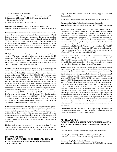School, Canberra, ACT, Australia

- 2. Department of Pathology, University of Washington, Seattle, WA
- 3. Department of Medicine, VA Medical Center, University of Washington, Seattle, WA
- 4. CymaBay Therapeutics, Inc., Newark, CA

#### **Corresponding Author's Email:** cmcwherter@cymabay.com **Abstract Category:** Experimental/basic science, NAFLD/NASH, non-humans

**Background:** Lipotoxicity associated with insulin resistance and diabetes is central to the pathogenesis of non-alcoholic steatohepatitis (NASH), leading to a strong inflammatory component that drives the resultant liver fibrosis and its potential to progress to cirrhosis. Seladelpar (MBX-8025) is a selective PPARδ \_agonist with anti-inflammatory effects that improves atherogenic dyslipidemia in rodents and humans. We tested whether seladelpar could improve insulin resistance, decrease lipotoxic hepatic lipids, reverse NASH and decrease fibrosis in an obese diabetic mouse model.

**Methods:** From 4 weeks of age, female Alms1 mutant (foz/foz) and wildtype (Wt) mice were fed an atherogenic diet throughout the 28 week study. At Week 16, groups (8-12 mice) were randomized to receive seladelpar (10 mg/kg in 1% methylcellulose vehicle) or vehicle by gavage for 8 weeks. We performed intraperitoneal glucose tolerance testing (IpGTT) at Week 27, and sacrifice at Week 28.

**Results:** Seladelpar had insignificant effects on body or liver weight, but normalized hyperglycemia, hypercholesterolemia, hyperinsulinemia and glucose disposal (by IpGTT) in foz/foz mice. After 16 weeks of atherogenic dietary intake, serum ALT ranged from 300-600 U/L in vehicle-treated foz/foz mice; seladelpar reduced this by  $\sim 50\%$  (P<.05). In foz/foz mice, hepatic lipid fractions showed increased free cholesterol, diacylglycerol, saturated fatty acid and triglyceride content seladelpar normalized serum lipids, and corrected all hepatic lipid pools. Treatment with seladelpar was associated with abolition of hepatocyte ballooning, substantial reduction of steatosis, and reduced liver inflammation with a striking decrease in the number of macrophage crown-like structures; the average non-alcoholic fatty liver disease (NAFLD) Activity Score (NAS) for all vehicle treated foz/foz mice was 6.9 (range 6-7) with all animals (8/8) showing definite NASH. In contrast, seladelpar reversed NASH in all foz/foz mice (NAS 3.13; P<.05), with only residual simple steatosis being present. Seladelpar also inhibited liver fibrosis as quantified by collagen densitometry and decreases in fibrosis-associated mRNA transcripts.

**Conclusions:** The selective PPARδ \_agonist seladelpar improves glucose tolerance and reverses diabetes, atherogenic dyslipidemia, hepatic lipid storage (including lipotoxic lipids), and NASH pathology in atherogenic diet-fed obsese diabetic mice. Seladepar acts independently of weight reduction, appears to counter lipotoxicity related to insulin resistance, with accompanying reductions in liver inflammation and fibrosis. Seladelpar provides a novel mechanism-based therapeutic agent with the potential to treat NASH

**Disclosures:** This study was supported by a grant from CymaBay. CAM and Y-JC are employees of CymaBay. FH and NCT received research support from CymaBay. HW, VB, ARM, MMY, WGH, GNI and GCF have no disclosures.

**[15 - ORAL WINNER] INHIBITION OF SPHINGOSINE 1-PHOSPHATE SIGNALING BY FTY720 AMELIORATES MURINE NONALCOHOLIC STEATOHEPATITIS** 

Amy S. Mauer, Petra Hirsova, Jessica L. Maiers, Vijay H. Shah, and Harmeet Malhi

Mayo Clinic College of Medicine, 200 First Street SW, Rochester, MN.

#### **Corresponding Author's Email:** malhi.harmeet@mayo.edu **Abstract Category:** Experimental/basic science, NAFLD/NASH, non-humans

Nonalcoholic steatohepatitis (NASH) is the most prevalent chronic liver disease in the Western world with no regulatory agency approved pharmacologic therapy. NASH is a lipotoxic disorder, wherein proinflammatory effects of accumulated lipids, such as ceramide and its derivative sphingosine 1-phosphate (S1P), contribute to macrophageassociated liver injury and inflammation. FTY720 (fingolimod), a small molecule, orally available, S1P antagonist, approved for the treatment of relapsing multiple sclerosis due to its immune-modulatory properties, has not been studied in NASH. Therefore, we **hypothesized** that FTY720 would ameliorate NASH by inhibiting S1P induced proinflammatory monocyte chemotaxis. The **aim** of this study was to assess the therapeutic efficacy of FTY720 in reversing established NASH.

**Methods:** 12 week old C57Bl/6 male mice fed a high saturated **F**at, **F**ructose, and **C**holesterol (FFC) diet or standard chow for 24 weeks were treated with either FTY720 (1mg/kg) or saline daily by intraperitoneal injections starting at week 22 of the feeding study for 14 days. Upon completion body weight, liver mass, liver tissue and blood were obtained for analyses.

**Results:** Saline treated FFC-fed mice (control group) recapitulated human NASH including the cardinal features of hepatocyte steatosis, ballooning, and fibrosis. FTY720-treated FFC-fed mice (treatment group) demonstrated significant improvement in hepatocyte ballooning and liver fibrosis compared with the control group; this was reflected in an improved NAFLD activity score ( $p<0.05$ ). Serum ALT was  $268 \pm 40$  U/L in the control group compared with  $144 \pm 9$  U/L in the treatment group (p<0.01). Macrophage accumulation was significantly reduced in the treatment group by immunohistochemistry for activated macrophage marker Mac-2, and confirmed by quantitative PCR (qPCR). Monocyte attracting chemokines, MCP-1, and MIP-1alpha were significantly reduced in the treatment group. Consistent with this, there was a reduction in the hepatic accumulation of Ly6C expressing macrophages-likely due to a reduction in the recruitment of Ly6C expressing pro-inflammatory monocytes to the liver. Collagen accumulation measured by picro-sirius red staining, and liver mRNA expression of alpha-smooth muscle actin and metalloproteinase inhibitor-1 were significantly reduced in the treatment group in keeping with the reduction in liver injury and inflammation. Body mass and liver mass remained unchanged between the two groups.

**Conclusions:** FFC-diet induced NASH is significantly ameliorated by 2 week treatment with FTY720. FTY720 should be further explored for possible therapeutic use in human NASH patients.

#### **[16 - ORAL WINNER] TARGETING MITOCHONDRIAL PYRUVATE METABOLISM TO AMELIORATE HEPATIC FIBROSIS IN A MOUSE MODEL OF NASH**

Kyle McCommis<sup>1</sup>, William McDonald<sup>2</sup>, Jerry Colca<sup>2</sup>, <u>Brian Finck</u>1\*

- 1. Washington University School of Medicine, St. Louis, MO
- 2. Metabolic Solutions Development Company, Kalamazoo, MI

**Corresponding Author's Email:** bfinck@wustl.edu **Abstract Category:** Experimental/basic science, NAFLD/NASH, non-humans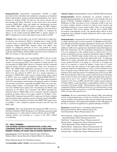**Background/Aim:** Nonalcoholic steatohepatitis (NASH) is highly prevalent in obese individuals and resultantly, is emerging as an important public health problem. Insulin-sensitizing thiazolidinediones have shown promise for treating NASH, but their use has raised concerns due to dose-limiting side effects. Recently, we have shown that a novel insulin sensitizer, MSDC-0602, binds and inhibits the mitochondrial pyruvate carrier (MPC). MPC1 and MPC2 proteins comprise the MPC complex, which mediates a key step in intermediary metabolism. Given the known connection between insulin resistance and NASH, we evaluated the efficacy of the insulin-sensitizing MSDC-0602 or genetic deletion of MPC2 in hepatocytes to treat a diet-induced mouse model of NASH.

**Methods:** Mice were fed either a low fat (LF) control diet or a high transfat, fructose, and cholesterol (HTF-C) containing diet to induce NASH. A subset of mice was fed plain HTF-C diet then switched to HTF-C diet containing 330ppm MSDC-0602. Hepatic stellate cells (HSCs) were isolated via collagenase perfusion of livers, and purified by density gradient centrifugation. Plasma exosomes were enriched by treating  $500 \mu L$ of plasma with ExoQuick, diluted in PBS, and used to treat 6-well plates of HSCs for 24 hours 2-3 days post HSC isolation.

**Results:** In an initial study, mice were fed plain HTF-C diet for 4 weeks and switched to HTF-C-containing MSDC-0602 for 12 weeks. Hepatic steatosis was increased by HTF-C diet compared to control and this was not attenuated by MSDC-0602. However, treatment with this compound improved plasma ALT/AST concentrations, which were increased by HTF-C diet. MSDC-0602 significantly decreased liver gene expression markers of hepatic stellate cell activation and fibrotic scar formation, which were also induced by HTF-C diet. In a second experiment, to determine if MSDC-0602 could reverse existing hepatic injury caused by HTF-C, mice were switched to HTF-C containing MSDC-0602 for 3 weeks after 16 weeks on HTF-C diet. MSDC-0602 again improved plasma ALT/AST concentrations and histologic and molecular markers of stellate cell activation and fibrosis, suggesting that MSDC-0602 can reverse preexisting hepatic fibrosis. Liver-specific MPC2 knockout (LS-Mpc2-/-) mice also exhibited lower plasma ALT concentrations and fibrotic gene expression on the HTF-C diet. Consistent with MPC2 mediating the beneficial effects of MSDC-0602 in liver, treatment with this compound produced no further effect on liver injury markers in LS-Mpc2-/- mice. Isolated HSCs displayed decreased RNA expression for fibrotic collagen and extracellular matrix regulating enzymes if directly treated with MSDC-0602, or if treated with plasma exosomes from MSDC-0602 treated mice, or LS-Mpc2-/- mice, compared to plasma exosomes from WT mice fed HTF-C diet.

**Conclusions:** These data demonstrate that targeting the MPC in liver by both direct inhibition of HSC fibrogenesis or by affecting a paracrine signal from hepatocytes is a viable option to improve fibrosis and treat NASH. \*Similar abstract was presented as a poster at the 2016 AASLD Liver Meeting.

#### **[17 - ORAL WINNER] LXR INVERSE AGONISTS DEMONSTRATE LIVER LIPID LOWERING EFFECTS THROUGH MULTIPLE MECHANISMS IN RODENT MODELS OF NASH AND IN HUMAN HEPATOCYTES**

Claus Kremoser, Ulrich Deuschle, Christian Gege, Olaf Kinzel, Michael Albers, Desiree Helen Krol, Manfred Birkel, Eva Hambruch

Phenex Pharmaceuticals AG, Heidelberg, Germany

**Corresponding Author's Email:** claus.kremoser@phenex-pharma.com

**Abstract Category:** Experimental/basic science, NAFLD/NASH, non-humans

**Background/aims:** Several mechanisms are currently evaluated as potential pharmacotherapies for the spectrum of non-alcoholic fatty liver disease (NAFLD), including modulators of nuclear receptors such as PPARa/g/d or FXR. Activation of Liver X Receptor (LXR) in the liver by potent, synthetic agonists is known to result in severe steatosis and hypertriglyceridemia in various animal models. Thus, we have designed and synthesized LXR inverse agonists with the aim to inhibit LXRs pro-steatotic transcriptional activity. The pharmacologic effects of these compounds were evaluated in human hepatocytes and in mouse and rat models of NAFLD .

**Methods/Results:** Compounds PX-L493 and PX-L603 were characterized in cellular reporter assays as inverse agonists of LXRalpha and beta  $[EC_{50}]$ for  $LXR(\alpha/\beta)$  in NCoR recruitment mammalian 2-hybrid assay = PX-L493 (5.3/1.4 nM); PX-L603 (966/326 nM)]. In human primary hepatocytes addition of LXR inverse agonists dose-dependently reduced the hepatocyte lipid load. Furthermore, the PX compounds demonstrated an inhibition of *de novo* lipogenesis in this cellular model as evidenced by [1,2-13C] acetate incorporation and mass isotopomer distribution analysis (MIDA). For an *in vivo* NAFLD model, Zucker (fa/fa) rats or, alternatively, C57 mice, were maintained on a Survit-type high fat diet with 1 % cholesterol (HFD) for two weeks. Thereafter they were either administered the LXR inverse agonist PX-L603 at 10 mg/kg p.o., PX-L493 at 10 mg/kg (rats only) by i.p. injection, or vehicle for another 2 weeks (rats) or 4 weeks (mice) on the same diet. Analysis of the hepatic lipid content yielded a significant reduction of triglycerides as well as of total cholesterol in the livers of animals treated with PX-L603 or PX-L493 compared to vehicle treatment. Gene expression analysis of candidate genes in the liver by qRT-PCR showed that the LXR inverse agonists repressed known LXR target genes involved in fatty acid synthesis, uptake and triglyceride storage or export such as *Scd-1*, *Fas*, *Angptl-4*, *Cd36* and others. Of special note, treatment of C57 mice on HFD with PX-L603 yielded a potent reduction of *Pnpla3* mRNA, a gene that harbors a polymorphism which was clearly associated with human NASH . Pharmacokinetic analysis of these LXR compounds in plasma and different tissues incl. liver demonstrated a strong hepatotropism which is a necessity to avoid LXR-antagonism related side effects in tissues other than the liver.

**Conclusion:** We have demonstrated that reducing LXRs transcriptional activity in human hepatocytes or in the liver of Zucker (fa/fa) rats or C57 mice by synthetic inverse agonists yields clear anti-steatotic effects through multiple mechanisms. This suggests that inhibition of the LXR pathway in the liver is a useful novel approach for a pharmacotherapy of NAFLD.

**Disclosures:** Claus Kremoser - Consulting: Gilead Sciences; Management Position: Phenex Pharmaceuticals AG; Stock Shareholder: Phenex Pharmaceuticals AG

Ulrich Deuschle - Employment: Phenex Pharmaceuticals AG; Stock Shareholder: Phenex Pharmaceuticals AG Olaf Kinzel - Employment: Phenex Pharmaceuticals AG Michael Albers - Employment: Phenex-Pharmaceutical AG; Stock Shareholder: Phenex Pharmaceuticals AG Manfred Birkel - Employment: Phenex Pharmaceuticals AG Eva Hambruch - Employment: Phenex Pharmaceuticals AG Christian Gege - Employment: Phenex Pharmaceuticals AG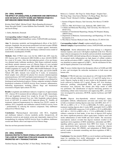#### **[18 - ORAL WINNER] THE EFFECT OF LIRAGLUTIDE, ELAFIBRANOR AND OBETICHOLIC ACID ON NAFLD ACTIVITY SCORE AND FIBROSIS STAGE IN A DIET-INDUCED OBESE MOUSE MODEL OF NASH**

Kirstine Sloth Tølbøl<sup>1</sup>, Michael Feigh<sup>1</sup>, Maria Baandrup Kristiansen<sup>1</sup>, Sanne Skovgård Veidal<sup>1</sup>, Louise Kathrine Due Fensholdt<sup>1</sup>, Niels Vrang<sup>1</sup> and Jacob Jelsing<sup>1</sup>

1. Gubra, Hørsholm, Denmark

**Corresponding Author's Email:** jacob@gubra.dk **Abstract Category:** Experimental/basic science, NAFLD/NASH, non-humans

**Aim:** To determine metabolic and histopathological effects of the GLP-1 analogue, liraglutide, the peroxisome proliferator activated receptor (PPAR) α/δ agonist, elafibranor, and the farnesoid x receptor agonist, obeticholic acid (OCA), in a diet-induced obese and biopsy-confirmed mouse model of nonalcoholic steatohepatitis (NASH).

**Methods:** Male C57BL/6 mice were fed the AMLN diet (40% trans-fat, 20% fructose and 2% cholesterol) (DIO-NASH) or chow (LEAN-CHOW) for a total of 26 weeks. After the diet-induction period, a liver pre-biopsy was obtained under isoflurane anesthesia. Only biopsy-confirmed steatotic and fibrotic animals (steatosis score  $\geq 2$ ; Fibrosis Stage  $\geq 1$ ) were included and stratified into treatment groups: DIO-NASH Vehicle (PO, QD), DIO-NASH Liraglutide (0.2 mg/kg, SC, BID), DIO-NASH Elafibranor (30 mg/ kg, PO, QD), DIO-NASH OCA (30 mg/kg, PO, QD), and LEAN-CHOW Vehicle (PO, QD). Animals were treated for 8 weeks. At termination, blood samples were collected for plasma liver enzymes (alanine/aspartate aminotransferases; ALT/AST) and lipids (total cholesterol; TC, triglycerides; TG). Furthermore, liver post-biopsies and plasma samples were obtained for histological and biochemical analysis. Primary endpoints included a blinded histological evaluation of NAFLD Activity Score (steatosis, inflammation, ballooning degeneration) including Fibrosis Stage and biochemical assessment of hepatic lipid content (TC/TG).

**Results:** Liraglutide and elafibranor induced a weight loss of approximately 10%. whereas OCA treatment did not influence body weight. Interestingly, OCA and liraglutide reduced liver weight by 26 and 37% respectively, whereas elafibranor increased liver size. Only liraglutide reduced plasma levels of ALT/AST. In contrast OCA improved plasma TC. Notably, all treatments improved hepatosteatosis by reducing liver TG/TC content. In addition, OCA, liraglutide and elafibranor reduced NAFLD Activity Score – predominantly by reducing the steatosis component. Only elafibranor reduced liver Fibrosis Stage.

**Conclusions:** Pharmacological intervention with OCA, liraglutide and elafibranor induced a diverse metabolic profile. Irrespectively, all treatments exerted an anti-steatotic action and, importantly, improved liver histopathology by reducing NAFLD Activity Score. In addition, elafibranor exerted anti-fibrotic effects and improved liver Fibrosis Stage.

Data has not been presented elsewhere

#### **[19 - ORAL WINNER] DIGOXIN PROTECTS FROM STERILE INFLAMMATION IN THE LIVER BY TARGETING PYRUVATE KINASE M2 (PKM2) PROMOTED HIF-1 TRANSACTIVATION**

Rebecca L. Cardone<sup>3</sup>, Shi-Ying Cai<sup>1</sup>, Rafaz Hoque<sup>1</sup>, Yonglin Chen<sup>1</sup>, Wei-hong Yang<sup>1</sup>, Irma Garcia Martinez<sup>1</sup>, Fu-Sheng Wang<sup>4</sup>, Bin Gao<sup>2</sup>, Natalie J Torok<sup>5</sup>, Richard G. Kibbey<sup>3</sup>, <u>Wajahat Z Mehal<sup>1,6</sup></u>

- 1. Section of Digestive Diseases, Yale University, New Haven, CT, 06520 USA;
- 2. NIAAA, NIH, 5625 Fishers Lane, Bethesda, MD, 20892 USA;
- 3. Cellular and Molecular Physiology, Yale University, New Haven CT, 06520 USA;
- 4. Institute of Translational Hepatology, Beijing 302 Hospital, Beijing, 100039 China;
- 5. Department of Medicine, Gastroenterology and Hepatology, UC Davis, Sacramento, CA;
- 6. West Haven Veterans Medical Center, West Haven, CT, 06516 USA

#### **Corresponding Author's Email:** wajahat.mehal@yale.edu **Abstract Category:** Experimental/basic science, NAFLD/NASH, non-humans

**Background:** Sterile inflammation after tissue damage is a ubiquitous immune response, and occurs with highest amplitude in the liver. This has major clinical consequences for alcoholic and non-alcoholic steatohepatitis (ASH and NASH) with both lacking effective therapies. Key requirements for sustained sterile inflammation are high degree of cellular oxidative stress and the activation of HIF-1\_ pathway. The cardiac glycoside digoxin was identified as potent suppressor of HIF-1\_, but the mechanism for this, and for hepatic protection is not well defined.

**Aim:** To assess whether digoxin has therapeutic effects in NASH and ASH in mice, and investigate the molecular mechanisms in both mouse and human cells.

**Methods:** C57BL/6J male mice were placed on a 45% high fat diet (HFD) for 11weeks with and without digoxin (ip 1, 0.2 and 0.05 mg/kg twice a week). Digoxin 1mg/kg ip daily in mice results in the therapeutic serum levels achieved in humans (0.5-2 ng/ml). Plasma ALT, liver histology, leukocytes profiling, mitochondrial ROS, and gene transcriptome microarrays were analyzed. The chronic plus binge model of ASH was performed. The identification of digoxin interacting protein(s) in maintaining cellular redox homeostasis and suppressing HIF1\_ activation were investigated by proteomics, RT-PCR, reporter luciferase and ChIP-PCR assay.

**Results:** Digoxin dose-dependently reduced histological injury, neutrophilic infiltrate, inflammasome activation and serum ALT values in both co-treatment (starting digoxin same time with HFD, ALT,  $417 +$ -398 U/L in HFD vs 91 +/- 73 U/L in HFD+DIG, P< 0.001), and posttreatment (starting digoxin after 4 weeks HFD, neutrophil 24.6% in HFD vs 14.3% in HFD+DIG; monocytes 31.6% in HFD vs 19.1% in HFD+DIG; ALT, 400 +/- 130 U/L in HFD vs 80 +/- 17 U/L in HFD+DIG, P< 0.001) without a reduction in food intake. A low dose of digoxin (0.05 mg/kg) also shows significant protective effects again injury oxidative stress and sterile inflammation in both NASH and ALD models. The microarray transcriptome analysis revealed that digoxin treatment resulted in the significant down-regulation of ROS metabolism, antioxidant and HIF1\_ signaling pathway gene expression from HFD liver tissues. A broad mass spectrometry-based proteomic screening revealed that digoxin binds pyruvate kinase M2 (PKM2), and independent of PKM2 kinase activity results in chromatin remodeling and down-regulation of HIF-1\_ transactivation.

**Conclusions:** Our data identify PKM2 as a novel mediator and therapeutic target for regulating liver sterile inflammation, and demonstrate the protective role of digoxin from ASH and NASH.

Xinshou Ouyang<sup>1</sup>, Sheng-Na Han<sup>1</sup>, Ji-Yuan Zhang<sup>1</sup>, Dechun Feng<sup>2</sup>,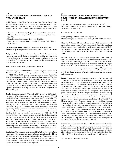#### **[20] THE MOLECULAR PROGRESSION OF NONALCOHOLIC FATTY LIVER DISEASE**

Sophie Cazanave PhD<sup>1</sup>, Alexei Podtelezhnikov PhD<sup>2</sup>, Kristian Jensen PhD<sup>2</sup>, Mulugeta Seneshaw MSc<sup>1</sup>, Keith Q. Tanis PhD<sup>2</sup>, Andrea L. Webber PhD<sup>2</sup>, Bubu Banini MD PhD<sup>1</sup>, Abdul Oseini MD<sup>1</sup>, Liangsu Wang PhD<sup>2</sup>, Pierre Bedossa MD<sup>3</sup>, Faridoddin Mirshahi MSc<sup>1</sup> and Arun J. Sanyal MBBS, MD<sup>1</sup>.

- 1. Division of Gastroenterology, Hepatology and Nutrition, Department of Internal Medicine, Virginia Commonwealth University, Richmond, VA, USA
- 2. Merck Research Laboratories, Kenilworth, NJ, USA
- 3. Department of Pathology, Hospital Beaujon, University Paris-Diderot, Paris, France

**Corresponding Author's Email:** sophie.cazanave@vcuhealth.org **Abstract Category:** Experimental/basic science, NAFLD/NASH, non-humans

**Background:** Nonalcoholic fatty liver disease (NAFLD), especially its aggressive form nonalcoholic steatohepatitis (NASH), can progress to cirrhosis. Changes in the hepatic transcriptome during disease progression have not been fully characterized and limit the development of precision medicine-based therapeutics.

**Aim:** To model the molecular progression of NAFLD.

**Approach**: Isogenic C57Bl6J/S129 mice were fed a high fat-high sugar diet (WD) for 8, 24 and 52 wks (n=4-5/group). This diet-induced animal model of NAFLD (DIAMOND) closely mimics progressive human NAFLD in terms of biochemical, histological parameters and transcriptome. The liver transcriptome of WD-mice was analyzed using Illumina microarrays (Mouse WG-6 2.0) and compared to that of control chow diet (CD)-fed mice at similar time points. Following quantile normalization, 2 groups differences were evaluated by 2-way ANOVA. Biological enrichment among differentially expressed genes (false discovery rate <0.1) was evaluated using Ingenuity Pathway Analysis.

**Results:** Compared to control CD-fed mice, 3136 genes were differentially expressed in WD-fed mice across the different time points. All WD-fed mice had NAFL at 8 wks; the top enriched pathways at 8 wks included eIF2 signaling, unfolded protein response, mitochondrial dysfunction, oxidative stress and acute phase response (p<0.001). Lipid metabolism pathways, including FXR/RXR activation, fatty acid synthesis, mitochondrial/ peroxisomal fatty acid oxidation and sterol biosynthesis were also significantly changed, as were amino acid metabolism, protein synthesis, activation of cell death/turnover, tissue differentiation and oncogenic signaling. By 24 wks, the histology had progressed to NASH with F0-F2 fibrosis. While the early pathway changes persisted, they had decreased in magnitude/significance; and IL-1/inhibition of RXR, granulocyte diapedesis/ adhesion, Fc macrophage activation, prothrombin activation and hepatic stellate cell activation represented the principal changes in the transcriptomic signature (p<0.001). By 52 wks, mice had florid NASH with F3 fibrosis and the transcriptomic signature was dominated by Fc macrophage activation, cell death and turnover and activation of cancer-related networks (p<0.001).

**Conclusions:** The molecular progression of NAFLD involves a metabolic perturbation which triggers subsequent cell stress and inflammation driving cell death and turnover. Over time, inflammation and fibrogenic pathways become dominant while in advanced disease an inflammatory-oncogenic profile dominates. Tissue regenerative signatures are prominent early and decrease by the time advanced disease is present.

#### **[21] DISEASE PROGRESSION IN A DIET-INDUCED OBESE MOUSE MODEL OF NON-ALCOHOLIC STEATOHEPATITIS (NASH)**

Maria Nicoline Baandrup Kristiansen<sup>1</sup>, Sanne Skovgård Veidal<sup>1</sup>, Kristoffer Tobias Gustav Rigbolt<sup>1</sup>, Michael Feigh<sup>1</sup>, Kirstine Sloth Tølbøl<sup>1</sup>, Niels Vrang<sup>1</sup>, Jacob Jelsing<sup>1</sup>.

1. Gubra, Hørsholm, Denmark

**Corresponding Author's Email:** jacob@gubra.dk **Abstract Category:** Experimental/basic science, NAFLD/NASH, non-humans

**Aim:** The Gubra AMLN diet-induced obese NASH model is a well characterized mouse model of liver steatosis and fibrosis for preclinical efficacy studies. Here we aimed to investigate the progression of NASH by assessing metabolic parameters, lipid metabolism, and liver specific histopathological and molecular markers during a 50-week diet induction period.

**Methods:** Male C57Bl/6J mice (5 weeks of age) were offered *ad libitum* access to a diet high in trans-fat (40%), fructose (22%) and cholesterol (2%) (the AMLN diet). Following 0, 1, 5, 10, 15, 20, 25, 30, 40 and 50 weeks on the diet subgroups of animals were terminated for histopathological evaluation of NAFLD activity score, as well as fibrosis stage. RNAseq analyses of key pathways were obtained and supported by biochemical analysis of liver cholesterol, triglycerides and hydroxyproline levels, as well as plasma analyses of alanine aminotransferase and aspartate aminotransferase.

**Results:** Plasma and liver biochemistry revealed a gradual increase in all investigated parameters starting with steatosis, followed by inflammation and ending with a fibrosis development reminiscent of human NASH. All components of the NAFLD activity score increased gradually throughout the study period, with fibrosis induction being apparent from week 20 and onwards. Interestingly, steatosis evolved from initial microvesicular around 5 weeks into the diet-period to a pronounced grade 3 macrovesicular steatosis. The prevalence of inflammation steadily increased over the 50 weeks first occurring around week 10 on the diet, whereas ballooning degeneration was observed only in late time points and only to a low extent similar to other rodent models of NASH. Total RNAseq analysis with a focus on pathways key to NASH development revealed a striking dysregulation of genes known to be involved in hepatic lipid handling, inflammation and macrophage recruitment and collagen deposition. Notably, genes involved in macrophage recruitment, such as MCP-1 and CCR1/2, as well as macrophage markers as CD68 and MAC-2, provided strong mechanistic insight into the pronounced and sudden onset of inflammation. Furthermore, the expression of key genes in fibrosis development, such as collagens, TIMPs and MMPs, allowed us to chart a detailed map of the temporal dynamics underlying fibrosis development in the Gubra AMLN diet-induced obese NASH model.

**Conclusions:** We demonstrate that the AMLN diet induces an instant effect on liver metabolism, and continues to increase in severity throughout the diet induction period. The highly detailed characterization provides and unprecedented temporal understanding of NASH development at both the whole animal, histological and molecular level, and implies that the Gubra-AMLN NASH model can be used as a translational NASH model.

Data has not been presented elsewhere.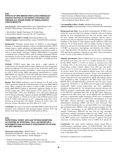#### **[22] EFFECTS OF BMS-986036 (PEGYLATED FIBROBLAST GROWTH FACTOR 21) ON HEPATIC STEATOSIS AND FIBROSIS IN A MOUSE MODEL OF NONALCOHOLIC STEATOHEPATITIS**

John Krupinski<sup>1</sup> (john.krupinski@bms.com), Nathan Morgan<sup>1</sup>, Alex Kozhich<sup>2</sup>, Manoj Chiney<sup>1</sup>, Paul Morin<sup>2</sup>, Rose Christian<sup>2</sup>

1. Bristol-Myers Squibb, Pennington, NJ, United States

2. Bristol-Myers Squibb, Lawrenceville, NJ, United States

**Corresponding Author's Email:** john.krupinski@bms.com **Abstract Category:** Experimental/basic science, NAFLD/NASH, non-humans

**Background:** Fibroblast growth factor 21 (FGF21), a non-mitogenic hormone, is an important regulator of glucose and lipid metabolism. FGF21 analogs improve insulin sensitivity and lipid profiles, which contribute to non-alcoholic steatohepatitis (NASH) pathogenesis, in preclinical models as well as in obese humans with type 2 diabetes. BMS-986036 is a pegylated recombinant form of human FGF21 with an extended elimination half-life and duration of action. In this study, the effects of BMS-986036 treatment were evaluated in the Stelic mouse model (STAM™) of NASH and liver fibrosis.

**Methods:** C57BL/6 mouse pups were given a single injection of streptozotocin two days after birth to induce diabetes and were subsequently placed on a high-fat (57%) diet at 4 weeks of age. In the Stelic model, mice develop histological correlates of NASH by 7 weeks of age and liver fibrosis by week 9. Twice-weekly (BIW) subcutaneous administration of 3 mg/kg BMS-986036 was initiated in 9-week old NASH mice and was continued for 6 weeks. Analyses were conducted on serum and liver lobes prepared from mice that were sacrificed 72 h after the last treatment.

**Results:** BMS-986036 conferred a survival benefit; 8 of 20 mice in the Vehicle group died during the in-life phase and 0 of 20 in the BMS-986036 group. When compared with Vehicle, 6 weeks of BIW treatment with 3 mg/kg BMS-986036 resulted in statistically significant changes in liverto-body weight ratio (-40%), blood glucose (-37%), plasma ALT (-53%), liver triglycerides (-50%), liver cholesterol (-51%), and serum adiponectin (+67%). Based on histologic analyses, treatment with BMS-986036 resulted in a mean reduction vs. Vehicle of 3.6 units in the NAFLD Activity Score (NAS;  $P < 0.001$ ) with reductions in all 3 components of the NAS, a 61% decrease in oil red-positive area (hepatic steatosis; P< 0.001), and a 34% decrease in Sirius red-positive area (liver fibrosis; P < 0.05).

**Conclusion:** Six weeks of treatment with BMS-986036 improved survival, increased serum adiponectin and decreased hepatic steatosis, NAS, and fibrosis in the Stelic mouse model of NASH and liver fibrosis.

#### **[23]**

#### **NUTRITIONAL WHEAT AMYLASE TRYPSIN INHIBITORS, ACTIVATORS OF INTESTINAL TOLL LIKE RECEPTOR 4, EXACERBATE NON-ALCOHOLIC STEATOHEPATITIS IN HIGH FAT DIET FED MICE**

<u>Muhammad Ashfaq-Khan</u><sup>1</sup>, Misbah Aslam,<sup>1,2</sup> Muhammad Asif Qureshi<sup>1,3</sup>, Shih-Yen Weng<sup>1</sup>, Xiao-Yu Wang<sup>1</sup>, Victor Zevallos<sup>1</sup>, Yong Ook Kim<sup>1</sup>, Detlef Schuppan<sup>1,4</sup>

- 2. Shaheed Benazir Bhutto Women University, Peshawar, KP, Pakistan;
- 3. Dow University of Medical Sciences, Karachi, Pakistan;
- 4. Division of Gastroenterology, Beth Israel Deaconess Medical Center, Harvard Medical School, Boston, USA

**Corresponding Author's Email:** muhakhan@uni-mainz.de **Abstract Category:** Experimental/basic science, NAFLD/NASH, non-humans

**Background and Aims:** Non-alcoholic steatohepatitis (NASH) is now ranked the most prevalent liver disease worldwide with an escalating demand for liver transplantation over the next decade. Apart from life style changes and pharmacological strategies, specific (micro-) nutrients may play an important role in NASH pathogenesis. A possible candidate is the family of what amylase trypsin inhibitors (ATIs) that represent 3% of wheat protein. ATIs are highly resistant to digestive proteolysis and activate intestinal innate immunity via toll like receptor 4 (TLR4) on monocytes, macrophages and dendritic cells (Junker Y et al, J Exp Med 2012). We therefore assessed the effect of nutritional ATIs equivalent in quantity to human average daily wheat consumption on the severity of diet induced NASH in mice.

**Methods and Results:** Male C57BI/6J mice received a carbohydrate and protein (zein from corn, 22.1.% of weight) defined low or high fat diet (HFD, 53KJ% vs 13 KJ% of calories as saturated fats), with or without 30% of the zein being isocalorically replaced by crude wheat gluten (which contains approx. 0.1g ATIs per 10g gluten, G+ATI), or 0.7% of the zein replaced by purified ATIs for 8 weeks. At sacrifice blood, liver and peripheral adipose tissues were collected for biochemical and histological analysis. Tissues were quantified for lipid content, inflammation and fibrosis, and inflammation and fibrosis related transcript levels were quantified by qPCR. Macrophage subsets were quantified by IHC. Compared to the HFD alone, mice fed the HFD/G+ATI or the HFD/ATI diets gained 10% and 15% more weight, respectively  $(34.87\pm0.8 \text{ vs. } 38.188\pm0.4 \text{ and } 40.1 \text{ g}\pm0.5)$  and displayed significantly higher serum triglycerides and liver, epididymal, mesenteric and inguinal fat. The intraperitoneal glucose tolerance test (IPGTT) revealed a significantly higher glucose intolerance in mice on the HFD/ATI containing diets than on the HFD alone. Moreover, compared to the HFD alone, mice on the HFD/G+ATI and HFD/ATI diets had a significantly higher histological NAS score, accompanied by elevated transcript levels of CD68 (total macrophages), IL-6 and TNF-alpha, whereas alternative macrophage (and putatively antiinflammatory) transcripts (ARG1 and Ym-1) were decreased. This was confirmed histologically via elevated CD68+ liver macrophages and myeloperoxidase (MPO)+ cells, and decreased numbers of YM-<sup>1</sup>+ M2 liver macrophages in the HFD/G+ATI and HFD/ATI fed animals. Furthermore, HFD/ATI fed mice had not only developed significantly enlarged epidydimal adipocytes and  $CD68<sup>+</sup>$  crown like structures (as an indication of adipose tissue inflammation) compared to the HFD controls and a significant increase in adipose tissue gene expression of inflammatory markers such as CD68, IL-6 and IL-1β.

**Conclusions:** Our study clearly implicates dietary wheat ATIs as proinflammatory nutritional drivers of NAFLD/NASH. This effect occurs at a daily intake that is comparable to average human consumption of wheat products and occurs despite the lack of any additional caloric value of the added ATIs.

Presented in modified form at AASLD2016.

<sup>1.</sup> Institute of Translational Immunology, Research Centre for Immunotherapy and the EPOS Consortium, University Medical Centre, Johannes Gutenberg University, Mainz, Germany;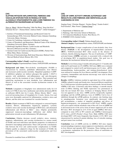#### **[24]**

#### **GLIPTINS MITIGATE INFLAMMATION, FIBROSIS AND VASCULAR DYSFUNCTION IN MODELS OF NON-ALCOHOLIC STEATOHEPATITIS AND LIVER FIBROSIS VIA ALTERNATIVE MACROPHAGE ACTIVATION**

Xiao yu Wang<sup>1</sup>, Michael Hausding<sup>2</sup>, Shih-Yen Weng<sup>1</sup>, Yong Ook Kim<sup>1</sup>, Sebastian Steven<sup>2,3</sup>, Thomas Klein<sup>4</sup>, Andreas Daiber<sup>2,5</sup>, Detlef Schuppan<sup>1,6</sup>

- 1. Institute of Translational Immunology and Research Center for Immunotherapy (FZI), University Medical Center, Johannes Gutenberg-University, Mainz, Germany,
- 2. Center for Cardiology, Laboratory of Molecular Cardiology,
- 3. Center of Thrombosis and Hemostasis, Medical Center of the Johannes Gutenberg University, Mainz, Germany;
- 4. Boehringer-Ingelheim Pharma, Cardiovascular and Metabolic Research, Biberach an der Riss, Germany ;
- 5. German Center for Cardiovascular Research (DZHK), Partner Site Rhine-Main, Mainz, Germany;
- 6. Division of Gastroenterology, Beth Israel Deaconess Medical Center, Harvard Medical School, Boston, MA, USA

**Corresponding Author's Email:** wang@uni-mainz.de **Abstract Category:** Experimental/basic science, NAFLD/NASH, non-humans

**Background and Aims:** Non-alcoholic steatohepatitis (NASH) is characterized by steatosis, panlobular inflammation, liver fibrosis and increased cardiovascular mortality. Dipeptidyl peptidase-4 (DPP-4) inhibitors (gliptins) are indirect glucagon like peptide 1 (GLP-1) agonists with antidiabetic, anti-inflammatory and anti-obesogenic activity, used for the treatment of type 2 diabetes. Their potential and underlying mechanisms to treat metabolic liver inflammation and fibrosis as well as the associated vascular dysfunction remain to be explored.

**Methods:** Linagliptin or Sitagliptin were administered orally for 4-6 weeks to C57BL/6 mice fed a methionine and choline deficient (MCD) or sufficient (MCS) diet for 8 weeks. Biliary fibrotic  $Mdr2^{-1}$  mice received increasing doses of Linagliptin for 4 weeks. Serum, liver and aorta were thoroughly analyzed for inflammation, oxidative stress and fibrosis, and the aorta was examined for vascular function.

**Results:** Gliptin treatment of MCD mice mitigated or corrected hepatic steatosis, fibrosis, inflammation, hepatocyte apoptosis, systemic oxidative stress and vascular dysfunction in MCD mice, and attenuated inflammation and fibrosis in Mdr2<sup>-/-</sup> mice. Gliptins prominently suppressed monocyte-macrophage infiltration and shifted their polarization towards an anti-inflammatory M2 phenotype.

**Conclusions:** Gliptins decrease overall oxidative stress, steatosis, apoptosis, inflammation, and vascular dysfunction in a mouse model of NASH, and exert mild direct anti-fibrotic properties via induction of alternative macrophage polarization. These cells provide a mechanistic link between the liver and cardiovascular complications in NASH. Gliptins qualify as adjunctive drugs for the treatment of NASH, the prevention of the associated cardiovascular complications and liver fibrosis.

Presented in modified form at DDW2016.

#### **[25]**

#### **LOSS OF AMPK ACTIVITY IMPAIRS AUTOPHAGY AND RESULTS IN LIVER FIBROSIS AND HEPATOCELLULAR CARCINOMA IN VIVO**

Jingjing Gong<sup>1</sup>, Christine Shugrue<sup>1</sup>, Xuchen Zhang<sup>2</sup>, Yasuko Iwakiri<sup>1</sup>, Fred Gorelick<sup>1</sup>, Marc Foretz<sup>4</sup>, <u>Chuhan Chungli</u><sup>3</sup>

- 1. Departments of Medicine and
- 2. Pathology, Yale University School of Medicine;
- 3. VA Connecticut Healthcare System, West Haven, CT;
- 4. INSERM U1016, Institut Cochin

#### **Corresponding Author's Email:** Chuhan.chung@yale.edu **Abstract Category:** Experimental/basic science, NAFLD/NASH, non-humans

**Background/Aim:** A major complication of non-alcoholic fatty liver disease (**NAFLD**) is the development of hepatocellular carcinoma (**HCC**). NAFLD-associated HCC often occurs in the absence of cirrhosis, thereby delaying diagnosis. The use of metformin, a 5'AMPactivated kinase (**AMPK**) activator, is associated with a reduced risk of developing HCC in population-based studies. Our goal was to determine the mechanisms behind this protective effect.

**Methods:** Livers from young (3 months old) and aged (12-17 months old) male (n=9) and female (n=15) AMPKγ1 KO mice (**KO**) were evaluated and compared to control (n=9) and heterozygous (n=11) mice. qPCR, immunoblotting, hydroxyproline, and immuno-histochemical stains were utilized to examine for liver fibrosis and HCC development. Flow cytometry, immunoblots and electron microscopy were used to detect changes in autophagy.

**Results:** AMPKγ1 deletion resulted in equivalent loss of the catalytic AMPKα subunit in male and female mice. Increased fibrosis manifested by a 5-fold increase in hydroxyproline occurred in male, but not female, AMPKγ1 KO mice. Consistent with these findings, α-smooth muscle actin  $(\alpha$ -SMA) labeling and TGF $\beta$  expression was pronounced in male but not female KO mice. Cirrhosis or bridging fibrosis (0/24) was not apparent in any mice. AMPK activity reciprocally regulates autophagy and the mTOR pathways. Loss of AMPKγ1 led to loss of inhibition through the mTOR pathway. In contrast, rate limiting steps in autophagosome formation were significantly decreased, while p62 accumulation, a marker of impaired autophagy and driver of hepatocarcinogenesis, was pronounced in KO livers. AMPK couples cell cycle control with the metabolic state of the cell. Loss of AMPK led to decreased levels of the active form of tumor suppressor p53 in male KO mice. HCC developed in 21% (5/24) of aged AMPKγ1 KO mice, compared to none (0/9) in WT controls and AMPKγ1 heterozygous (0/11) mice, *p*<0.05 (Fischer's Exact Test). Male AMPKγ1 KO mice developed HCC (4/9) more frequently than females (1/15). HCC were characterized by nuclear β-catenin labeling, loss of reticulin staining, and peri-tumor iron overload.

**Conclusion:** Loss of AMPK activity in AMPKγ1 KO mice impairs normal autophagy responses, tumor suppressive mechanisms, and results in liver fibrosis and sporadic HCC formation. These findings provide a mechanistic explanation for the protective effects of metformin on HCC development.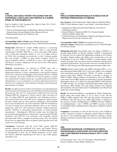#### **[26] A NOVEL AND HIGHLY POTENT FXR AGONIST EDP-305 SUPPRESSES LIVER INJURY AND FIBROSIS IN A MURINE MODEL OF STEATOHEPATITIS**

Ping An<sup>1</sup>, Kahini A. Vaid<sup>1</sup>, Guangyan Wei<sup>1</sup>, Mary D. Chau<sup>2</sup>, YLi<sup>2</sup>, Y.S.Or<sup>2</sup>, Lijuan J. Jiang<sup>2</sup>, Yury Popov<sup>1\*</sup>

1. Divison of Gastroenterology and Hepatology, Beth Israel Deaconess Medical Center, Harvard Medical School, Boston, MA and

2. Enanta Pharmaceuticals, Inc. Watertown, MA

#### \*presenting author

**Corresponding Author's Email:** ypopov@bidmc.harvard.edu **Abstract Category:** Experimental/basic science, NAFLD/NASH, non-humans

**Background**: Farnesoid X receptor (FXR) agonism is a promising strategy to treat chronic liver diseases such as non-alcoholic steatohepatitis (NASH). EDP-305 is a novel and potent FXR agonist with a single-digit nanomolar affinity *in vitro*. It is highly selective for FXR with no/minimal cross-reactivity to the G protein-coupled bile acid receptor 1 (TGR5) or other nuclear receptors. Herein we report therapeutic efficacy of EDP-305 in mice with steatohepatitis and fibrosis, in direct comparison with the first-in-class FXR agonist, obeticholic acid (OCA).

**Methods:** Steatohepatitis was induced in C57Bl/6 mice with a methionine-choline deficient diet (MCD). All treatments were administered between 4 weeks (steatohepatitis with incipient fibrosis) and 8 weeks (advanced steatohepatitis with advanced fibrosis) on MCD (n=8-12/group). Two doses of EDP-305 (10 and 30 mg/kg) or vehicle were administered via daily oral gavage. A parallel group received OCA (30mg/kg/day *p.o.*) as a comparator. Liver injury and progression of liver fibrosis were evaluated by serum chemistry, histology, and biochemical determination of collagen.

**Results**: No apparent adverse effects of treatments were noted during the study. Serum levels of transaminases ALT and AST were both significantly decreased (by 62% and 37%, respectively) in MCD-fed mice receiving 30mg/kg EDP-305 compared to vehicle controls. Mice receiving low dose 10 mg/kg EDP-305 and obeticholic acid (30mg/kg) showed a clear trend towards lower ALT/AST levels compared to vehicle control, but these changes did not reach statistical significance. Total bilirubin levels were not affected by any of the treatments. EDP-305 at both doses (10 and 30 mg/kg) had a profound inhibitory effect on liver fibrosis progression, with up to 70% reduction in hepatic collagen deposition (p<0.05, ANOVA) as determined biochemically via hydroxyproline measurement. Histologically, MCD-fed control mice developed the advanced perisinusoidal fibrosis ("chicken wire") characteristic of NASH. Treatment with EDP-305 was associated with markedly reduced periosinusoidal fibrosis compared to placebo group. OCA (30 mg/kg) did not have an appreciable effect on hepatic hydroxyproline levels and connective tissue histology.

**Conclusions**: Treatment with the novel FXR agonist EDP-305 potently improved pre-established liver injury and hepatic fibrosis (assessed biochemically and histologically) in an MCD-induced model of steatohepatitis in mice. By all studied parameters of liver injury and fibrosis, EDP-305 outperformed the first in class FXR agonist, obeticholic acid.

#### **[27]**

#### **PNPLA3 OVEREXPRESSION RESULTS IN REDUCTION OF PROTEINS PREDISPOSING TO FIBROSIS**

Piero Pingitore<sup>1</sup>, Paola Dongiovanni<sup>2</sup>, Marica Meroni<sup>2</sup>, Benedetta Maria Motta1 , Saverio Massimo Lepore3 , Luca Valenti\*2 and Stefano Romeo\*1,**<sup>3</sup>**

- 1. Department of Molecular and Clinical Medicine, University of Gothenburg, Sweden
- 2. Internal Medicine, Fondazione IRCCS Ca' Granda Ospedale Policlinico Milano, Milan, Italy
- 3. Clinical Nutrition Unit, Department of Medical and Surgical Sciences, Magna Graecia University, Catanzaro, Italy

**Corresponding Author's Email:** piero.pingitore@wlab.gu.se **Abstract Category:** Pathogenesis, translational science, NAFLD/NASH, liver fibrosis, humans

**Background and aim:** Non-alcoholic fatty liver disease (NAFLD) is a growing health problem in Western Countries. NALFD is characterized by increased liver fat content and inflammation resulting in liver fibrosis and failure. Hepatic stellate cells (HSCs) once activated play a key role in fibrogenesis in the liver. PNPLA3 I148M is a common genetic variant robustly associated with liver fibrosis but the mechanisms underlying this association remain obscure. The aim of this work was to examine the role of PNPLA3 148I wild type and 148M mutant protein in hepatic stellate cells.

**Methods:** Primary hepatic stellate cells (pHSCs and human HSCs *ex vivo*) and immortalized human HSCs (LX-2) were used. pHSCs were incubated with transforming growth factor-beta (TGF-β) (10 ng/mL) or plateletderived growth factor (PDGF) (10 ng/mL) in presence or absence of PNPLA3 siRNA. Western blotting was performed to assess the PNPLA3 levels and oil red O (ORO) staining was performed to measure intracellular lipid droplet content. LX-2 stably over-expressing PNPLA3 148I wild type or 148M cell lines were generated. Intracellular lipid droplet content was measured by ORO staining. Cells and medium fractions were collected after incubation with and without retinol 10  $\mu$ M/palmitic acid 100  $\mu$ M and analyzed by western blotting.

**Results**: We found that PNPLA3 is upregulated by TGF-β. Furthermore, retinol release from human HSCs *ex vivo* is lower in cells with the PNPLA3 148M compared with 148I wild type protein. Overexpression of PNPLA3 148I wild type but not 148M mutant induces a reduction in the secretion of matrix metalloproteinase 2 (MMP2) and tissue inhibitors of metalloproteinases 1 and 2 (TIMP1 and TIMP2), enzymes involved in extracellular matrix remodeling and this reduction is mediated by retinoid metabolism.

**Conclusion:** In conclusion we show for the first time a role of PNPLA3 in HSC activation in response to fibrogenic stimuli. Moreover PNPLA3 may have a role in protecting against liver fibrosis by inducing a specific signature of proteins secreted by HSC and involved in extra cellular matrix remodeling.

#### **[28]**

#### **ADENOSINE DEAMINASE 2 EXPRESSION IN PORTAL MACROPHAGES IS ASSOCIATED WITH INFLAMMATION AND LIVER FIBROSIS IN NONALCOHOLIC FATTY LIVER DISEASE**

Z. Gordon Jiang<sup>1</sup>, Eric U. Yee<sup>2</sup>, Eva Csizmadia<sup>1</sup>, Shuji Mitsuhashi<sup>1</sup>, Simon C. Robson<sup>1</sup>, Nezam Afdhal<sup>1</sup>, Michelle Lai<sup>1</sup>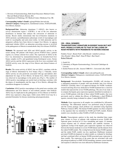1. Division of Gastroenterology, Beth Israel Deaconess Medical Center, Harvard Medical School, Boston, MA

2. Department of Pathology, OU Medical Center, Oklahoma City, OK

**Corresponding Author's Email:** zgjiang@bidmc.harvard.edu **Abstract Category:** Pathogenesis, translational science, NAFLD/NASH, liver fibrosis, humans

**Background/Aim:** Adenosine deaminase 2 (ADA2), also known as cat-eye chromosome region 1 (CECR1), is one of the two adenosine deaminases in humans that catalyze the conversion of adenosine to inosine. Recent studies demonstrate that loss-of-function mutations in ADA2 promote a proinflammatory phenotype switch of macrophages and result in vasculopathy and early-onset stroke. As both adenosine and its antagonist caffeine have been shown to impact liver fibrosis, we aim to understand whether ADA2, an adenosine-converting enzyme is involved in the pathogenesis of fibrosis in nonalcoholic fatty liver disease (NAFLD).

**Methods:** We measured total ADA and ADA2-specific activity in the serum among 100 patients with biopsy proven NAFLD from a patient registry at a tertiary referral liver center. The expression of ADA2 in the liver was determined by immunohistochemistry on formalin-fixed liver biopsy samples (n=91), and quantitated using histological scores. Serum ADA2 activity and the ADA2 expression in the liver were correlated with NAFLD activity score, the stage of liver fibrosis and clinical features of NAFLD.

**Results:** The serum activity of ADA2, but not ADA1, correlates with the stage of fibrosis determined by liver biopsy (Fig.1.). Clinically, serum ADA2 activity are also positively associated with age and diabetes after adjustment for stage of liver fibrosis. In human liver, ADA2 expression was observed in macrophages in the portal area (Fig.2.). The number of ADA2-positive macrophages per portal triad on histology correlates with the degree of steatohepatitis and the stage of liver fibrosis, although this correlation disappears in cirrhosis.

**Conclusion:** ADA2-positive macrophages in the portal area correlate with inflammation and liver fibrosis in non-cirrhotic patients with NAFLD. ADA2 may be implicated in the pathogenesis of liver fibrosis in NAFLD. ADA2 may represent a drug target, whilst serum ADA2 level may be a potential biomarker for disease monitoring and prognostication.





#### **[30 - ORAL WINNER] TRANSCRIPTOMIC SIGNATURE IN RODENT NASH BUT NOT NAFL MODELS IS SIMILAR TO THAT IN THE LIVERS OF NASH PATIENTS WITH MODERATE-TO-SEVERE DISEASE**

Frédéric Texier<sup>1</sup>, Benoit Noël<sup>1</sup>, John Brozek<sup>1</sup>, Isabelle Leclercq<sup>2</sup>, Alice Roudot<sup>1</sup>, Rémy Hanf<sup>1</sup>, Dean W Hum<sup>1</sup>, Bart Staels<sup>3</sup>, Robert Walczak<sup>1</sup>

- 1. Genfit SA
- 2. Laboratory of Hepato-Gastroenterology, Université Catholique de Louvain
- 3. Institut Pasteur de Lille ; Inserm UMR1011 ; Université Lille, EGID

**Corresponding Author's Email:** robert.walczak@genfit.com **Abstract Category:** Pathogenesis, translational science, NAFLD/NASH, liver fibrosis, humans

**Background:** Non-alcoholic Steatohepatitis (NASH) will develop in a substantial proportion of people with non-alcoholic fatty liver disease (NAFLD). Currently, there is no approved therapy for NASH. Academic research and drug discovery dedicated to NASH treatment have a need for models that represent the severe NASH pathology. The aim of our study is to compare the hepatic gene expression signature identified in moderate-tosevere NASH patients with that of three rodent NASH models, that were previously used to validate the efficacy of Elafibranor, a dual PPARα/δ agonist, currently being evaluated in a phase 3 study RESOLVE-IT.

**Methods:** Gene expression in all samples was established by Affymetrix technology. The differential analysis was performed using R program and the Limma package. Each probeset was annotated using Ingenuity Pathways Analysis (IPA). The human NASH signature was then compared to the signature that was identified in NASH and NAFL models. Rodent models were classified as either NASH or NAFL by histology.

**Results:** Transcriptomic analysis in this study has identified three major gene clusters in livers of patients with moderate-to-severe NASH that represent genes involved in (1) liver remodeling and repair, (2) immune system response and (3) selected anabolic and catabolic reactions. A significant overlap of the hepatic gene expression signature was observed between the human moderate-to-severe NASH dataset and the datasets from the rodent NASH models. The overlap between the human NASH signature and the rodent NAFL models was less significant. Elafibranor treatment prevented NASH development in rodent models as evaluated by histology and had a profound effect on human NASH-associated gene expression in these models. The expression of the genes that are associated with such physiological pathways as EMT, ECM remodeling, immune system function and response to infection were most affected by Elafibranor treatment.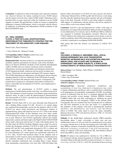**Conclusion:** A significant overlap of the hepatic gene expression signature was observed between the human moderate-to-severe NASH dataset and the datasets from the three rodent NASH models. Elabrinanor had a profound effect on gene expression within the moderate-to-severe NASH signature in rodents. We speculate that a similar set of genes is regulated by elafibranor in human NASH patients, which is consistent with the efficacy of elafibranor on ballooning and inflammation (NASH resolution) in the Ph2b GOLDEN505 study.

#### **[31 - ORAL WINNER] VLX103, A FIRST-IN-CLASS, INVESTIGATIONAL HEPATOSELECTIVE THERAPEUTIC STRATEGY FOR THE TREATMENT OF INFLAMMATORY LIVER DISEASES**

Patrick Colin<sup>1</sup>, Pierre Falardeau<sup>1</sup>

1. Verlyx Pharma Inc., Montreal, Canada

#### **Corresponding Author's Email:** pcolin@verlyx.com **Abstract Category:** Pharmacology

**Background/Aims**: Intestinal dysbiosis is an important determinant of metabolic syndrome and chronic liver disease, such as Non-Alcoholic Fatty Liver Disease (NAFLD), Alcoholic or Non-Alcoholic Steatohepatitis (ASH or NASH), and even cirrhosis. Dysbiosis results in intestinal inflammation, increased gut permeability and subsequent translocation of LPS (lipopolysaccharide: endotoxin) into the portal circulation and the liver. Chronically elevated portal and hepatic LPS exposure triggers CD14/TLR4-dependant pro-inflammatory, pro-fibrogenic and pro-steatotic signaling pathways in the liver. Reduction of the LPS burden in animal models is associated with reduction of this response. Consequently, LPS neutralization is proposed as a therapeutic intervention in human liver disease, and justifies the development of VLX103, a new hepatoselective LPS neutralizer.

**Methods**: The oral administration of VLX103 confers a unique hepatoselective biodistribution profile to the drug, very different from the IV route. This minimizes systemic exposure to non hepatic organs and therefore optimizes safety. In order to study the pharmacological, pharmacokinetic and clinical profile of VLX103, a preclinical and clinical drug development program is being carried out.

**Results**: VLX103 binds LPS *in vitro* more efficiently than Polymixin B, with a binding affinity around 0.12 µM. Several *in vivo* animal studies also confirmed that pentamidine can prevent the hepatoxic effects of LPS. VLX103 has shown strong biochemical and histological evidence of hepatoprotection, along with improved survival (19-37 fold) in the murine Galactosamine/LPS model. In this fulminant acute liver injury model, VLX103 blocked liver injury even 2 and 3 hours post-injury, when damage was at peak. Moreover, oral VLX103 significantly reduced ALT, hepatic triglycerides contents and bodyweight in the High Fat Diet NAFLD/NASH mouse model, when given only the last 2-3 weeks of the dietary period. On the other hand, the NIAAA Alcoholic Hepatitis mouse model was used to evaluate the therapeutic potential of VLX103 in ASH. In this experiment, plasma AST and ALT were significantly decreased by 50% vs control, and hepatic triglycerides by 34%. Moreover, TNF-alpha, Interferon gamma, IL-6 and chemokine (C-C motif) ligand were significantly reduced by 69 to 81%. Thus, VLX103 had beneficial effects on the complete triad of abnormalities in ALD: steatosis, injury and inflammation. Hepatoselectivity was confirmed clinically in liver disease patients, in a double blind, placebo controlled, randomized, dose ascending Phase I study. Hepatic tissue pentamidine concentrations were more than 1,000-fold higher than

plasma. Safety and tolerance of VLX103 was also assessed, and showed a Maximum Tolerated Dose of 900 mg QD with GI adverse events being the only clinically significant observations reported, and only at the higher doses of the drug. Currently, VLX103 is also being studied in moderate ASH subjects, in collaboration with the NIAAA, and will be explored in severe ASH as well as non-cirrhotic NASH.

**Conclusion**: VLX103 is safe and hepatoselective within a wide range of human doses. Its unique LPS neutralization ability provides an opportunity to treat inflammatory liver diseases such as NASH and ASH in a different way compared to metabolic dysregulation correction. Moreover, since VLX103 addresses the endotoxemic component of liver disease, it may be useful in conditions where LPS translocation is enhanced by cofactors such as alcohol, in particular in overlapping NASH/ASH (BASH).

Only partial data from this abstract was presented at AASLD 2015 and 2016.

#### **[32]**

**VOLIXIBAT, A MINIMALLY ABSORBED, ORAL, APICAL SODIUM-DEPENDENT BILE ACID TRANSPORTER INHIBITOR, INCREASES BILE ACID EXCRETION, REDUCES SERUM LIPIDS, AND IS SAFE AND TOLERABLE IN OVERWEIGHT AND OBESE SUBJECTS, A POPULATION CHARACTERISTIC OF NONALCOHOLIC STEATOHEPATITIS**

Melissa Palmer<sup>1</sup>, Lee Jennings<sup>1</sup>, Debra Silberg<sup>2</sup>, Caleb Bliss<sup>1</sup>, Patrick Martin<sup>1</sup>

1. Shire, Lexington, MA 2. Shire, Zug, Switzerland.

#### **Corresponding Author's Email:** mpalmer@shire.com **Abstract Category:** Pharmacology

**Background/Aim:** Abnormal cholesterol metabolism and accumulation of toxic free cholesterol in hepatocytes may result in hepatic inflammation and fibrosis, and is a potential factor contributing to the pathogenesis of nonalcoholic steatohepatitis (NASH). Accordingly, removal of cholesterol from the liver is a treatment approach that could decrease and possibly reverse damage. Volixibat (SHP626, formerly LUM002) blocks bile acid (BA) reabsorption by inhibiting the apical sodium-dependent bile acid transporter (ASBT) in the terminal ileum. Consequently, BAs are excreted in the feces forcing the liver to synthesize new BA from cholesterol in the liver and serum. It is hypothesized that inhibition of BA reuptake could lead to therapeutically beneficial metabolic, anti-inflammatory, anti-steatotic, and anti-fibrotic effects in NASH. This study aimed to assess the safety, tolerability, pharmacodynamics (PD) and pharmacokinetics (PK) of volixibat administered for 12 days.

**Methods:** In this double-blind, randomized, placebo (PBO)-controlled, dose-finding, phase 1 study, overweight or obese men and nonchildbearing women (18–65 years old) were randomized to seven cohorts of varying volixibat dose (2–80 mg) and regimen (once daily [QD], twice daily [BID] or titration). Evaluations included PD assessments (fecal BA and serum  $7\alpha$ -hydroxy-4-cholesten-3-one [C4] concentration – a marker of synthesis of BA from cholesterol), PK, stool hardness (Bristol Stool Chart [BSC]), safety and tolerability.

**Results:** 84 subjects were randomized to volixibat  $(n = 63)$  or PBO  $(n = 100)$ 21). Consistent with the minimal absorption of volixibat, PK could not be calculated. Mean  $(\pm SD)$  daily fecal BA excretion was higher in subjects receiving volixibat (930.61  $\pm$  468.965 µmol) than in those receiving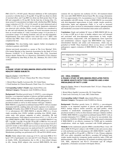PBO (224.75  $\pm$  195.403 µmol). Maximal inhibition of BA reabsorption occurred at volixibat doses  $\geq 20$  mg QD; 10 mg QD was about two thirds of maximal effect, and 5 mg BID was about one third greater than 10 mg QD and comparable to 20 mg QD. On the final day of dosing (Day 12), mean serum C4 concentration was higher with volixibat than PBO. Median (range) reduction of 0.70 (–2.8 to 0.4) mmol/L in total cholesterol and of 0.6990 (–3.341 to 0.570) mmol/L in low-density lipoprotein cholesterol was observed with volixibat. While, overall, volixibat was considered to be safe and well-tolerated, the frequency of bowel movements increased from an overall median of 1 daily evacuation (range: 0–4) pre-dose to 2 evacuations (range: 0–8) during treatment, and was not dose-dependent. Proportionately more stool samples were rated Type 6 or 7 (BSC) with volixibat than PBO. There were no serious adverse events; all subjects completed the trial.

**Conclusions:** This dose-finding study supports further investigation of volixibat in patients with NASH.

Abstract previously presented as a poster at The Liver Meeting® 2016, 67th Annual Meeting of the American Association for the Study of Liver Diseases (AASLD), 11–15 November, Boston, MA, USA. Associated abstract details: Palmer M *et al. Hepatology* 2016;64(S1):574A (Abstract 1139), published by John Wiley & Sons, Inc., Hoboken, NJ, USA © 2016 AASLD.

#### **[33] A PHASE 1 STUDY OF BMS-986036 (PEGYLATED FGF21) IN HEALTHY OBESE SUBJECTS**

Edgar D. Charles<sup>1</sup>, Linda Morrow<sup>2</sup>, Marcus Hompesch<sup>2</sup>, Yi Luo<sup>1</sup>, Chunyu Kate Wu<sup>1</sup>, Rose Christian<sup>1</sup>

1. Bristol-Myers Squibb, Lawrenceville, NJ, United States

2. Profil Institute for Clinical Research, Chula Vista, CA, United States

**Corresponding Author's Email:** edgar.charles@bms.com **Abstract Category:** Therapeutic trials NASH/liver fibrosis

**Background:** Fibroblast growth factor 21 (FGF21), a non-mitogenic hormone, is an important regulator of glucose and lipid metabolism. FGF21 analogs improve insulin sensitivity and lipid profiles, which contribute to nonalcoholic steatohepatitis (NASH) pathogenesis, in preclinical models as well as in obese humans with type 2 diabetes. BMS-986036 is a pegylated recombinant human FGF21 with an extended elimination half-life, enabling daily and weekly regimens to be studied. **Methods:** 96 healthy obese (BMI 30-40 kg/m²) subjects were randomized 3:1 to subcutaneous (SC) BMS-986036 or placebo (PBO) in a 16-arm single ascending dose (SAD)/ multiple ascending dose (MAD) singlecenter study with primary endpoints of safety, tolerability, PK and pharmacodynamics. SAD subjects received doses of 0.3, 1, 3, 10, 30, or 60 mg of BMS-986036 or PBO. MAD subjects received BMS-986036 0.3 mg QD, 1 mg QD, 3 mg QD, 10 mg QD, 30 mg QD, or PBO for 14 d; one arm received BMS-986036 21 mg QD for 8 d. Subjects were in-house from D-2 until D15 (SAD) or D22 (MAD) and received an identical diet 48 h prior to D1 and D16. RNA expression was analyzed from D-1 and D16 (MAD) abdominal adipose tissue biopsies, and pathway analysis was conducted. Metabolomic profiling was performed on D1, D8 and D16 (MAD) serum.

**Results:** Study subjects had a mean age of 41.8 y and mean BMI of 34.1 kg/m². 83% of participants were men and 41% were Hispanic. There were no deaths, SAEs, discontinuations due to AEs or dose-related changes in AEs. Among MAD subjects who received BMS-986036, the most common AE was injection site erythema (22.2%). All treatment-related AEs were mild. BMS-986036 showed linear PK; the average elimination T1/2 was approximately 24 h. Accumulation was 2-3 fold with QD dosing and negligible with QW dosing. 14 days of BMS-986036 was associated with dose-dependent improvements in body weight, insulin sensitivity, triglycerides, lipids and adiponectin (Table 1), as well as increased expression of genes involved in mitochondrial oxidative phosphorylation and metabolites associated with branched chain amino acid catabolism.

**Conclusions:** Single and multiple SC doses of BMS-986036 QD for up to 14 days or QW up to 8 days in healthy subjects were well tolerated and associated with dose-dependent improvements in body weight, insulin resistance, triglycerides, LDL and adiponectin. Gene expression and metabolomics analyses suggest that BMS-986036 may improve mitochondrial function and amino acid homeostasis, which may be perturbed in NASH. These beneficial effects on key drivers of NASH pathogenesis support evaluation of BMS-986036 in Phase 2 studies of NASH.

| D <sub>15</sub> Adiponectin- $%$ change from D <sub>1</sub> |             |           |           |            |            |           |
|-------------------------------------------------------------|-------------|-----------|-----------|------------|------------|-----------|
| PBO                                                         | 0.3mg<br>ЭD | lmg<br>ЭD | 3mg<br>OD | 21mg<br>OW | 10mg<br>QD | $30mg$ QD |
| $-34.9$                                                     | $-22.9$     | $-9.1$    | $-2.7$    | 0.3        | 19.4       | 41.7      |

#### **[34 - ORAL WINNER] A PHASE 2 STUDY OF BMS-986036 (PEGYLATED FGF21) IN OBESE ADULTS WITH TYPE 2 DIABETES AND A HIGH PREVALENCE OF FATTY LIVER**

Edgar D. Charles<sup>1</sup>, Brent A. Neuschwander-Tetri<sup>2</sup>, Yi Luo<sup>1</sup>, Chunyu Kate Wu<sup>1</sup>, Rose Christian<sup>1</sup>

1. Bristol-Myers Squibb, Lawrenceville, NJ, United States 2. Saint Louis University, St. Louis, MO, United States

**Corresponding Author's Email:** edgar.charles@bms.com **Abstract Category:** Therapeutic trials NASH/liver fibrosis

**Background:** Fibroblast growth factor 21 (FGF21), a non-mitogenic hormone, is an important regulator of glucose and lipid metabolism. FGF21 analogs improve insulin sensitivity and lipid profiles, which contribute to nonalcoholic steatohepatitis (NASH) pathogenesis, in preclinical models as well as in obese humans with type 2 diabetes mellitus (T2DM). BMS-986036 is a pegylated recombinant human FGF21 with an extended elimination T1/2. T2DM is a risk factor for non-alcoholic fatty liver disease (NAFLD), NASH and fibrosis. This study aimed to determine if BMS-986036 is an effective treatment for T2DM and its metabolic complications, which are highly associated with NASH pathogenesis.

**Methods:** In this randomized, placebo (PBO)-controlled Phase 2 trial, 120 obese (BMI 30-50 kg/m²) subjects with T2DM on diet and exercise alone or with metformin received subcutaneous (SC) BMS-986036 1 mg QD, 5 mg QD, 20 mg QD, or 20 mg QW vs. PBO for 12 wks. Primary endpoints (EP) were safety, tolerability and HbA1c; secondary EP included body weight, insulin sensitivity (composite insulin sensitivity index, CISI) and pharmacokinetics (PK). Exploratory EP included circulating triglycerides, LDL, HDL, adiponectin and Pro-C3 (N-terminal type Ill collagen propeptide), a biomarker associated with hepatic fibrosis.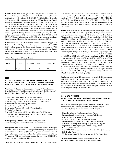**Results:** At baseline, mean age was 56 years, female 53%, white 79%, Hispanic 25%, mean weight 96.2 kg, mean BMI 34.8², mean HbA1c 7.6%, metformin use 47%, statin use 44%. 100/104 (86.2%) had fatty liver index ≥60, indicating a high prevalence of fatty liver. PK was linear and Ctrough was stable during dosing. BMS-986036 did not meaningfully change HbA1c or body weight. BMS-986036 improved CISI (20 mg vs PBO, p=0.03) and led to dose dependent improvements in triglycerides, LDL and HDL, as well as increases in serum adiponectin (Table 1) and decreases in serum Pro-C3. There were no deaths or discontinuations due to SAEs. No AEs appeared to be dose dependent, although diarrhea (14.6% vs 4.2%), nausea (6.3% vs 0%) and dyspepsia (6.3% vs 0%) were more frequent for BMS-986036 vs PBO. 95.1% of AEs were mild or moderate. No subjects had laboratory-confirmed hypoglycemia and injection site reactions were infrequent (4.2%).

**Conclusions:** BMS-986036 improved insulin sensitivity, triglycerides, HDL and LDL in T2DM patients with a high prevalence of fatty liver. BMS-986036 addresses metabolic derangements that may contribute to NASH pathogenesis. Furthermore, improvements in adiponectin and Pro-C3 suggest that BMS-986036 may have an independent antifibrotic effect. Results support further clinical trials in NASH.

| Wk12 Adiponectin- $\%$ Change from D1 |                    |                     |                    |                     |  |  |
|---------------------------------------|--------------------|---------------------|--------------------|---------------------|--|--|
| <b>PBO</b>                            | 1 <sub>mg</sub> QD | 20 <sub>mg</sub> QW | 5 <sub>mg</sub> QD | 20 <sub>mg</sub> QD |  |  |
| 3 Q                                   | 24.2               | 25.2                | 31.4               | 39.7                |  |  |

#### **[35]**

#### **ALT AS A NON-INVASIVE BIOMARKER OF HISTOLOGICAL RESPONSE TO PHARMACOTHERAPY IN NASH PATIENTS: INSIGHTS FROM THE ELAFIBRANOR GOLDEN505 TRIAL**

Vlad Ratziu<sup>1,2</sup>, Stephen A. Harrison<sup>3</sup>, Sven Francque<sup>4</sup>, Pierre Bedossa<sup>5</sup>, Quentin M. Anstee<sup>6</sup>, Fouad Ben Sudrik<sup>7</sup>, Alice Roudot<sup>7</sup>, Sophie Megnien<sup>7</sup>, Dean W. Hum<sup>7</sup>, Rémy Hanf<sup>7</sup>, Bart Staels<sup>9</sup>, Arun J. Sanyal<sup>8</sup>

- 1. Hepatology, Hopital Pitie Salpetriere, Paris, France.
- 2. Institute of Cardometabolism and Nutrition, Paris, Paris, France.
- 3. Brooke Army Medical Center, Fort-Worth, TX, United States.
- 4. Antwerp Univesrity, Antwerp, Netherlands.
- 5. Hopital Beaujon, Clichy, France.
- 6. Newcastle University, Newcastle, United Kingdom.
- 7. Genfit, Loos, France.
- 8. Virginia Commonwealth University, Richmond, VA, United States.
- 9. INSERM U1011, European Genomic Institute for Diabetes (EGID), Université Lille 2, Lille, France.

**Corresponding Author's Email:** remy.hanf@genfit.com **Abstract Category:** Therapeutic trials NASH/liver fibrosis

**Background and aims:** While ALT imperfectly predicts histological severity, a relation between ALT changes and histological response (HR) in treated NASH patients (pts) has been suggested. If confirmed, this will help predict treatment efficacy without the need for a control liver biopsy. We assessed ALT and histological changes in the 1-year GOLDEN505 randomized trial of elafibranor (ELA).

**Methods:** Pts treated with placebo (PBO, N=77) or ELA 120mg (N=77)

were included. HR was defined as resolution of NASH without fibrosis worsening. All completers (N=154) and NAS≥4 (NAFLD activity score) completers (N=129), both with high baseline ALT (N=75, ALThigh: ALT>1.5 ULN) and low baseline ALT (N=79, ALTlow: ALT≤1.5 ULN) were analyzed for effects on ALT and HR. HR was also assessed in pts with ALT decrease (N=99) or with stable or increased ALT (N=53) at endof-treatment.

**Results:** At baseline, median ALT was higher with increasing NAS: 41 IU/ ml in NAS=3 to 63 IU/ml in NAS=6 (p<0.001). ALThigh had more severe histological lesions than ALTlow (NAS= $5.4 \pm 1.2$  vs  $4.6 \pm 1.2$ , p<0.001). When considering baseline ALT, the HR rate was higher with ELA than with PBO in ALThigh pts (22% vs 11%, respectively, OR=11.6, p<0.001) while in ALTlow pts the difference was lower: 22% vs 18%, OR=1.54, p=0.5. This was confirmed in NAS≥4 pts (ALThigh: 22% ELA vs 8% PBO, OR = 16.8, p<0.001; ALTlow: 19% ELA vs 15% PBO, OR=1.97, p=0.4). Compared to PBO, ELA reduced ALT both in ALThigh and in ALTlow (LSmean $\pm$ SE was -9.9 $\pm$  10.1% and -13.9 $\pm$ 12.3 % respectively). When considering ALT changes on treatment, the HR rate was higher in pts with an ALT decline than in those with stable or increasing ALT (26% (26/99) vs 4% (2/53), p<0,001). Also, ALT changes were larger in HR (N=28) than in non responders  $(N=126)$ : -29 $\pm$ 23% vs +1 $\pm$ 57%; p<0.001. In both ELA and PBO, a progressive decrease in ALT was observed in HR but not in non-responders. In ELA, ALT reduction was higher in HR (N=17) than in non-responders  $(N=60)$ :-34 $\pm$ 23% vs -3 $\pm$ 67, p<0.05. Similarly, in PBO, ALT reduction was higher in HR than in non-responders  $(N=66)$ :-20 $\pm$ 21% vs +5±47%, p<0.05. In pts with declining ALT, ELA had higher HR rates than PBO (30% vs  $22\%$ , OR =  $2.05$ , p<0.145) with a stronger difference for NAS $\geq$ 4: 30% vs 16%, OR = 3.21, p<0.05).

**Conclusion:** A decline in ALT is associated with histological improvement, particularly on active pharmacotherapy. Pts who resolve NASH have the strongest time-dependent reduction in ALT. A higher baseline ALT is associated with more active disease and better response of HR to ELA over PBO. Although ALT reduction is not an absolute predictor of HR it may provide important insight on treatment effect.

#### **[36 - ORAL WINNER] IMPROVEMENT IN NASH HISTOLOGICAL ACTIVITY HIGHLY CORRELATES WITH FIBROSIS REGRESSION**

Vlad Ratziu<sup>1,2</sup>, Sven Francque<sup>3</sup>, Stephen Harrison<sup>4</sup>, Quentin M. Anstee<sup>5</sup>, Pierre Bedossa<sup>6</sup>, John Brozek<sup>7</sup>, Dean W. Hum<sup>7</sup>, Sophie Megnien<sup>7</sup>, Alice Roudot<sup>7</sup>, Rémy Hanf<sup>7</sup>, Bart Staels<sup>8</sup>, Arun J. Sanyal<sup>9</sup>

- 1. Hepatology, Hopital Pitie Salpetriere, Paris, France.
- 2. Institute of cardiometabolism and Nutrition, Paris, France.
- 3. Antwerp University, Antwerp, Belgium.
- 4. Univesrsity of Oxford, Oxford, United Kingdom.
- 5. Institute of Cellular Medicine, Faculty of Medical Sciences, Newcastle University, Newcastle upon Tyne, United Kingdom.
- 6. Department of Pathology, Hopital Beujon, Clichy, France.
- 7. GENFIT, Loos, France.
- 8. INSERM U1011, European Institute for Diabetes (EGID), University Lille 2, Lille, France.
- 9. Virginia Commonwealth University, Richmond, VA, United States.

**Corresponding Author's Email:** remy.hanf@genfit.com **Abstract Category:** Therapeutic trials NASH/liver fibrosis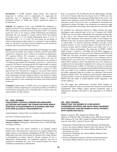**Introduction:** A NASH treatment should protect from long-term progression to cirrhosis and its complications by suppressing the underlying cause of fibrogenesis. Whether changes in individual histological features of NASH alter fibrosis progression remains to be determined.

**Methods:** All completers of the 1-year GOLDEN-505, elafibranor vs. placebo trial (N=237) were analyzed. Biopsies were scored by the NASH-CRN classification at baseline and end-of-treatment (EOT). At inclusion all pts had scores ≥1 for steatosis, lobular inflammation and hepatocyte ballooning. Pts were grouped by changes between EOT and inclusion for steatosis (from -3 to +2), lobular inflammation (from -2 to +2) or ballooning (from  $-2$  to  $+1$ ) scores. For each group, the percentage of patients experiencing an improvement or a worsening (>1 stage) in fibrosis stage was calculated. Associations between changes in scores and fibrosis evolution were assessed by the Fisher exact test.

**Results:** Changes in both lobular inflammation and ballooning were highly and positively correlated with changes in fibrosis ( $p<0.001$  and  $p=0.04$ , respectively). Among pts with a 2 point score reduction in inflammation, 67% improved fibrosis (0% worsened); in contrast, if inflammation progressed by >1 point, 56% of pts worsened fibrosis and only 6% improved. For ballooning changes, a 2 point reduction in score resulted in 71% fibrosis improvement (0% worsening); conversely, a 1 point increase resulted in 35% fibrosis worsening and only 26% improvement. In contrast, there was no association between changes in steatosis scores and changes in fibrosis: 25% improved and 0% worsened for a change  $\leq$ -2; 45% improved and 18% worsened for a change ≥1. An activity index defined as the sum of lobular inflammation and ballooning scores shows a positive linear relationship with mean changes in fibrosis score (R2=0.95). Similar results were obtained when considering placebo and elafibranor-treated patients separately or when considering only patients with NAS≥4 and F≥2 at inclusion.

**Conclusion:** Improvement in NASH activity and regression of fibrosis are highly correlated supporting the concept that resolution of NASH can reverse fibrosis progression and is reasonably likely to predict long term clinical benefit. (no table selected).

#### **[37 - ORAL WINNER] CHOLESTEROL CRYSTALS TRIGGER INFLAMMASOME ACTIVATION AND MARKS THE TRANSITION FROM SIMPLE STEATOSIS TO STEATOHEPATITIS IN HUMANS AND MICE WITH NON-ALCOHOLIC STEATOHEPATITIS**

Angela Dolganiuc, Virginia Clark, Ivan Zendejas, Consuelo Soldevila Pico.

University of Florida, Gainesville, FL.

**Corresponding Author's Email:** Angela.Dolganiuc@medicine.ufl.edu **Abstract Category:** Pathogenesis, translational science, NAFLD/NASH, liver fibrosis, humans

Non-alcoholic fatty liver disease (NAFLD) is an emerging medical problem and is characterized by a spectrum of liver disease ranging from simple steatosis to non-alcoholic steatohepatitis (NASH). The triggers of inflammation and factors that facilitate the transition from simple steatosis to steatohepatitis are largely unknown. Immune responses are key to inflammation. Inflammasomes are multiprotein oligomers that lead to production of interleukin (IL)-1 and -18 in myeloid immune cells, which contributes to perpetuation of inflammation.

Here we assessed the role of cholesterol and the inflammasome activation in the liver of humans with fatty liver disease (n=21), C57Bl6 mice who developed steatohepatitis after prolonged feeding high-fat diet, and in vitro cultured mouse hepatocytes model cell line Hepa 1-6 after stimulation with cholesterol crystals. Frozen liver tissue was analyzed for unesterified free cholesterol by staining with filipin. Liver architecture was analyzed by light (H&E stain) and electron microscopy. Gene expression was assessed by PCR.

We identified free cholesterol, detected by fillipin staining and strong birefringence under polarized light, in the liver of humans with NASH, C57Bl6 mice who developed steatohepatitis after prolonged feeding highfat diet, and in vitro cultured mouse hepatocytes/their model cell line Hepa 1-6 after stimulation with cholesterol crystals; no such findings were identified in the livers of normal control humans, control-diet-fed animals or control Hepa 1-6. Electron microscopy identified crown-like crystalenriched structures in livers of human patients with high NAS score (5- 6) but not in those with low NAFLD activity score (NAS) score (1-3) or in controls without steatohepatitis. The expression of NLRP3, CASP1, AIM2, Caspase-1, Pannexin-1, PYCARD, and IL1B RNA, suggestive of inflammasome activation, was increased in liver of humans with NAFLD and C57Bl6 mice with dietary fat-induced steatohepatitis compared to normal humans and control diet-fed mice, respectively. Livers of humans with low NAFLD activity score (NAS) score (1-3) had lower levels of inflammasome markers RNA compared to those with high NAS score (5-6). Exposure to crystalized, but not uncrystalized, cholesterol led to increase in expression of inflammasome genes in Hepa 1-6. The degree of increase in expression of inflammasome genes was augmented when peripheral blood mononuclear cells were added to the crystalized cholesterol-exposed Hepa 1-6 cells, and further augmented when the co-culture was stimulated with bacterial lipopolysaccharide (LPS). The cholesterol crystal-triggered inflammasome activation in Hepa 1-6 cells was blocked by ROS scavengers, ATP depletion, BAPTA-AM, and culture in calcium-depleted media, suggesting a role for these pathways.

Our data suggest that inflammasome activation, likely triggered by crystalized cholesterol, marks the transition from steatosis to non-alcoholic steatohepatitis. These findings suggest potential translational value of inflammasome blockade with intent to stop progression of in NAFLD/ NASH.

#### **[38 - ORAL WINNER] PREDICTING THE DEGREE OF LIVER-BIOPSY-CONFIRMED STEATOSIS AND NASH USING TRANSIENT ELASTOGRAPHY AND MRI-BASED IN ADULT PATIENTS WITH SUSPECTED NAFLD**

Stephen A. Harrison, MD<sup>1</sup>; Katharine K. Roberts, MD<sup>1</sup>; Induruwa N. Pathirana, MD<sup>1</sup>; Christopher Lisanti, MD<sup>2</sup>; Ryan Schwope, MD<sup>2</sup>; Katherine M. Cebe, MD<sup>3</sup>; Jennifer M Aldridge Whitehead, MS<sup>1,2</sup>; James K. Aden, PhD<sup>4</sup>; Angelo H. Paredes, MD<sup>1</sup>

- 1. Department of Internal Medicine, Gastroenterology and Hepatology Service, San Antonio Military Medical Center, San Antonio, TX, USA
- 2. Department of Radiology, San Antonio Military Medical Center, San Antonio, TX, USA
- 3. Department of Pathology, San Antonio Military Medical Center, San Antonio, TX, USA
- 4. Division of Biomedical Statistics, Institute for Surgical Research, San Antonio Military Medical Center, San Antonio, TX, USA